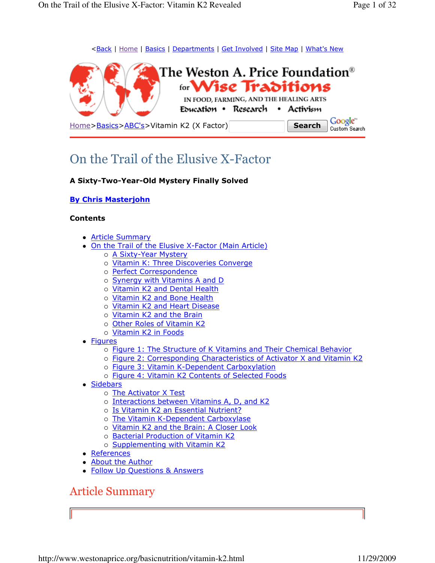<Back | Home | Basics | Departments | Get Involved | Site Map | What's New



On the Trail of the Elusive X-Factor

#### A Sixty-Two-Year-Old Mystery Finally Solved

#### By Chris Masterjohn

#### Contents

- Article Summary
- On the Trail of the Elusive X-Factor (Main Article)
	- o <u>A Sixty-Year Mystery</u>
		- o Vitamin K: Three Discoveries Converge
		- o Perfect Correspondence
	- o Synergy with Vitamins A and D
	- o Vitamin K2 and Dental Health
	- o *Vitamin K2 and Bone Health*
	- o Vitamin K2 and Heart Disease
	- o Vitamin K2 and the Brain
	- o Other Roles of Vitamin K2
	- o <mark>Vitamin K2 in Foods</mark>
- Figures
	- o Figure 1: The Structure of K Vitamins and Their Chemical Behavior
	- Figure 2: Corresponding Characteristics of Activator X and Vitamin K2
	- o **Figure 3: Vitamin K-Dependent Carboxylation**
	- o Figure 4: Vitamin K2 Contents of Selected Foods
- Sidebars
	- o <u>The Activator X Test</u>
	- o Interactions between Vitamins A, D, and K2
	- o Is Vitamin K2 an Essential Nutrient?
	- o The Vitamin K-Dependent Carboxylase
	- o Vitamin K2 and the Brain: A Closer Look
	- o Bacterial Production of Vitamin K2
	- o Supplementing with Vitamin K2
- References
- About the Author
- Follow Up Questions & Answers

## Article Summary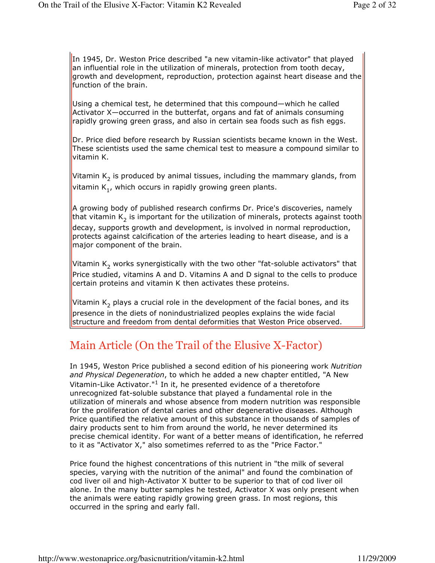In 1945, Dr. Weston Price described "a new vitamin-like activator" that played an influential role in the utilization of minerals, protection from tooth decay, growth and development, reproduction, protection against heart disease and the function of the brain.

Using a chemical test, he determined that this compound—which he called Activator X—occurred in the butterfat, organs and fat of animals consuming rapidly growing green grass, and also in certain sea foods such as fish eggs.

Dr. Price died before research by Russian scientists became known in the West. These scientists used the same chemical test to measure a compound similar to vitamin K.

Vitamin  $\mathsf{K}_2$  is produced by animal tissues, including the mammary glands, from vitamin  $\mathsf{K}_{1'}$ , which occurs in rapidly growing green plants.

A growing body of published research confirms Dr. Price's discoveries, namely that vitamin K<sub>2</sub> is important for the utilization of minerals, protects against tooth<mark></mark> decay, supports growth and development, is involved in normal reproduction, protects against calcification of the arteries leading to heart disease, and is a major component of the brain.

Vitamin  $\mathsf{K}_2$  works synergistically with the two other "fat-soluble activators" that Price studied, vitamins A and D. Vitamins A and D signal to the cells to produce certain proteins and vitamin K then activates these proteins.

Vitamin  $\mathsf{K}_2$  plays a crucial role in the development of the facial bones, and its presence in the diets of nonindustrialized peoples explains the wide facial structure and freedom from dental deformities that Weston Price observed.

# Main Article (On the Trail of the Elusive X-Factor)

In 1945, Weston Price published a second edition of his pioneering work Nutrition and Physical Degeneration, to which he added a new chapter entitled, "A New Vitamin-Like Activator."<sup>1</sup> In it, he presented evidence of a theretofore unrecognized fat-soluble substance that played a fundamental role in the utilization of minerals and whose absence from modern nutrition was responsible for the proliferation of dental caries and other degenerative diseases. Although Price quantified the relative amount of this substance in thousands of samples of dairy products sent to him from around the world, he never determined its precise chemical identity. For want of a better means of identification, he referred to it as "Activator X," also sometimes referred to as the "Price Factor."

Price found the highest concentrations of this nutrient in "the milk of several species, varying with the nutrition of the animal" and found the combination of cod liver oil and high-Activator X butter to be superior to that of cod liver oil alone. In the many butter samples he tested, Activator X was only present when the animals were eating rapidly growing green grass. In most regions, this occurred in the spring and early fall.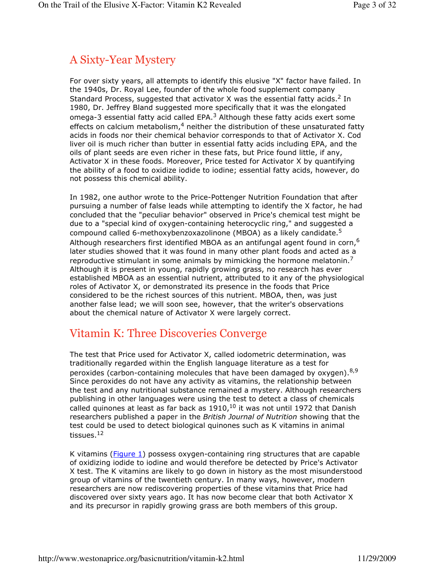# A Sixty-Year Mystery

For over sixty years, all attempts to identify this elusive "X" factor have failed. In the 1940s, Dr. Royal Lee, founder of the whole food supplement company Standard Process, suggested that activator X was the essential fatty acids.<sup>2</sup> In 1980, Dr. Jeffrey Bland suggested more specifically that it was the elongated omega-3 essential fatty acid called EPA.<sup>3</sup> Although these fatty acids exert some effects on calcium metabolism,<sup>4</sup> neither the distribution of these unsaturated fatty acids in foods nor their chemical behavior corresponds to that of Activator X. Cod liver oil is much richer than butter in essential fatty acids including EPA, and the oils of plant seeds are even richer in these fats, but Price found little, if any, Activator X in these foods. Moreover, Price tested for Activator X by quantifying the ability of a food to oxidize iodide to iodine; essential fatty acids, however, do not possess this chemical ability.

In 1982, one author wrote to the Price-Pottenger Nutrition Foundation that after pursuing a number of false leads while attempting to identify the X factor, he had concluded that the "peculiar behavior" observed in Price's chemical test might be due to a "special kind of oxygen-containing heterocyclic ring," and suggested a compound called 6-methoxybenzoxazolinone (MBOA) as a likely candidate.<sup>5</sup> Although researchers first identified MBOA as an antifungal agent found in corn,<sup>6</sup> later studies showed that it was found in many other plant foods and acted as a reproductive stimulant in some animals by mimicking the hormone melatonin.<sup>7</sup> Although it is present in young, rapidly growing grass, no research has ever established MBOA as an essential nutrient, attributed to it any of the physiological roles of Activator X, or demonstrated its presence in the foods that Price considered to be the richest sources of this nutrient. MBOA, then, was just another false lead; we will soon see, however, that the writer's observations about the chemical nature of Activator X were largely correct.

# Vitamin K: Three Discoveries Converge

The test that Price used for Activator X, called iodometric determination, was traditionally regarded within the English language literature as a test for peroxides (carbon-containing molecules that have been damaged by  $oxygen$ ).<sup>8,9</sup> Since peroxides do not have any activity as vitamins, the relationship between the test and any nutritional substance remained a mystery. Although researchers publishing in other languages were using the test to detect a class of chemicals called quinones at least as far back as  $1910<sub>1</sub>^{10}$  it was not until 1972 that Danish researchers published a paper in the British Journal of Nutrition showing that the test could be used to detect biological quinones such as K vitamins in animal tissues.<sup>12</sup>

K vitamins (Figure 1) possess oxygen-containing ring structures that are capable of oxidizing iodide to iodine and would therefore be detected by Price's Activator X test. The K vitamins are likely to go down in history as the most misunderstood group of vitamins of the twentieth century. In many ways, however, modern researchers are now rediscovering properties of these vitamins that Price had discovered over sixty years ago. It has now become clear that both Activator X and its precursor in rapidly growing grass are both members of this group.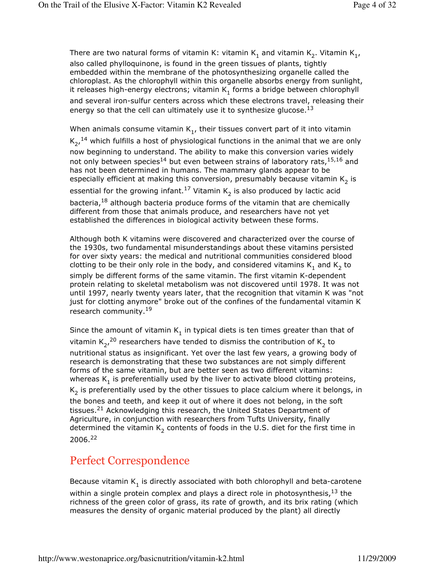There are two natural forms of vitamin K: vitamin  $\mathsf{K}_1$  and vitamin  $\mathsf{K}_2^{}$ . Vitamin  $\mathsf{K}_{1'}^{}$ also called phylloquinone, is found in the green tissues of plants, tightly embedded within the membrane of the photosynthesizing organelle called the chloroplast. As the chlorophyll within this organelle absorbs energy from sunlight, it releases high-energy electrons; vitamin  $\mathsf{K}_1$  forms a bridge between chlorophyll and several iron-sulfur centers across which these electrons travel, releasing their energy so that the cell can ultimately use it to synthesize glucose.<sup>13</sup>

When animals consume vitamin  $\mathsf{K}_1$ , their tissues convert part of it into vitamin  $K_2$ ,  $^{14}$  which fulfills a host of physiological functions in the animal that we are only now beginning to understand. The ability to make this conversion varies widely not only between species<sup>14</sup> but even between strains of laboratory rats,  $15,16$  and has not been determined in humans. The mammary glands appear to be especially efficient at making this conversion, presumably because vitamin  $\mathsf{K}_2$  is essential for the growing infant. $^{17}$  Vitamin K<sub>2</sub> is also produced by lactic acid bacteria,<sup>18</sup> although bacteria produce forms of the vitamin that are chemically different from those that animals produce, and researchers have not yet established the differences in biological activity between these forms.

Although both K vitamins were discovered and characterized over the course of the 1930s, two fundamental misunderstandings about these vitamins persisted for over sixty years: the medical and nutritional communities considered blood clotting to be their only role in the body, and considered vitamins  $\mathsf{K}_1$  and  $\mathsf{K}_2$  to simply be different forms of the same vitamin. The first vitamin K-dependent protein relating to skeletal metabolism was not discovered until 1978. It was not until 1997, nearly twenty years later, that the recognition that vitamin K was "not just for clotting anymore" broke out of the confines of the fundamental vitamin K research community.<sup>19</sup>

Since the amount of vitamin  $\mathsf{K}_1$  in typical diets is ten times greater than that of vitamin  $\mathsf{K}_{2}$ ,  $^{20}$  researchers have tended to dismiss the contribution of  $\mathsf{K}_{2}$  to nutritional status as insignificant. Yet over the last few years, a growing body of research is demonstrating that these two substances are not simply different forms of the same vitamin, but are better seen as two different vitamins: whereas  $\mathsf{K}_1$  is preferentially used by the liver to activate blood clotting proteins,  $\mathsf{K}_2$  is preferentially used by the other tissues to place calcium where it belongs, in the bones and teeth, and keep it out of where it does not belong, in the soft tissues.<sup>21</sup> Acknowledging this research, the United States Department of Agriculture, in conjunction with researchers from Tufts University, finally determined the vitamin  $\mathsf{K}_2$  contents of foods in the U.S. diet for the first time in 2006.<sup>22</sup>

# Perfect Correspondence

Because vitamin  $\mathsf{K}_1$  is directly associated with both chlorophyll and beta-carotene

within a single protein complex and plays a direct role in photosynthesis, $^{13}$  the richness of the green color of grass, its rate of growth, and its brix rating (which measures the density of organic material produced by the plant) all directly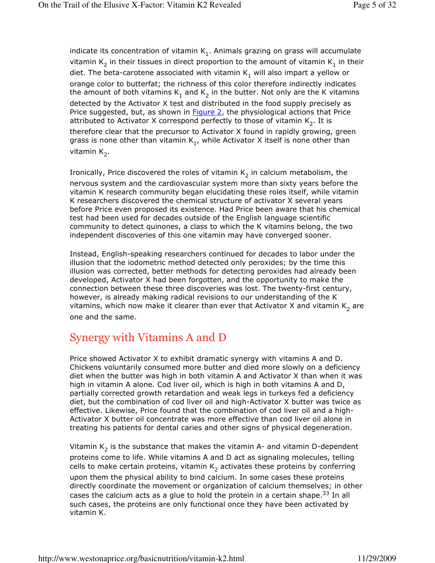indicate its concentration of vitamin  $\mathsf{K}_1.$  Animals grazing on grass will accumulate vitamin  $\mathsf{K}_2$  in their tissues in direct proportion to the amount of vitamin  $\mathsf{K}_1$  in their diet. The beta-carotene associated with vitamin  $\mathsf{K}_1$  will also impart a yellow or orange color to butterfat; the richness of this color therefore indirectly indicates the amount of both vitamins  $\mathsf{K}_1$  and  $\mathsf{K}_2$  in the butter. Not only are the K vitamins detected by the Activator X test and distributed in the food supply precisely as Price suggested, but, as shown in **Figure 2**, the physiological actions that Price attributed to Activator X correspond perfectly to those of vitamin  $\mathsf{K}_2.$  It is therefore clear that the precursor to Activator X found in rapidly growing, green grass is none other than vitamin K<sub>1</sub>, while Activator X itself is none other than vitamin K<sub>2</sub>.

Ironically, Price discovered the roles of vitamin  $\mathsf{K}_2$  in calcium metabolism, the nervous system and the cardiovascular system more than sixty years before the vitamin K research community began elucidating these roles itself, while vitamin K researchers discovered the chemical structure of activator X several years before Price even proposed its existence. Had Price been aware that his chemical test had been used for decades outside of the English language scientific community to detect quinones, a class to which the K vitamins belong, the two independent discoveries of this one vitamin may have converged sooner.

Instead, English-speaking researchers continued for decades to labor under the illusion that the iodometric method detected only peroxides; by the time this illusion was corrected, better methods for detecting peroxides had already been developed, Activator X had been forgotten, and the opportunity to make the connection between these three discoveries was lost. The twenty-first century, however, is already making radical revisions to our understanding of the K vitamins, which now make it clearer than ever that Activator X and vitamin  $\mathsf{K}_2$  are one and the same.

# Synergy with Vitamins A and D

Price showed Activator X to exhibit dramatic synergy with vitamins A and D. Chickens voluntarily consumed more butter and died more slowly on a deficiency diet when the butter was high in both vitamin A and Activator X than when it was high in vitamin A alone. Cod liver oil, which is high in both vitamins A and D, partially corrected growth retardation and weak legs in turkeys fed a deficiency diet, but the combination of cod liver oil and high-Activator X butter was twice as effective. Likewise, Price found that the combination of cod liver oil and a high-Activator X butter oil concentrate was more effective than cod liver oil alone in treating his patients for dental caries and other signs of physical degeneration.

Vitamin  $\mathsf{K}_2$  is the substance that makes the vitamin A- and vitamin D-dependent proteins come to life. While vitamins A and D act as signaling molecules, telling cells to make certain proteins, vitamin  $\mathsf{K}_2$  activates these proteins by conferring upon them the physical ability to bind calcium. In some cases these proteins directly coordinate the movement or organization of calcium themselves; in other cases the calcium acts as a glue to hold the protein in a certain shape.<sup>33</sup> In all such cases, the proteins are only functional once they have been activated by vitamin K.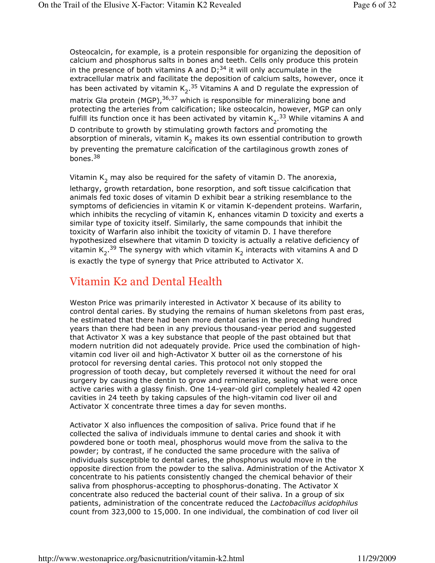Osteocalcin, for example, is a protein responsible for organizing the deposition of calcium and phosphorus salts in bones and teeth. Cells only produce this protein in the presence of both vitamins A and  $D<sup>34</sup>$  it will only accumulate in the extracellular matrix and facilitate the deposition of calcium salts, however, once it has been activated by vitamin  $K_2$ .<sup>35</sup> Vitamins A and D regulate the expression of matrix Gla protein (MGP),<sup>36,37</sup> which is responsible for mineralizing bone and protecting the arteries from calcification; like osteocalcin, however, MGP can only fulfill its function once it has been activated by vitamin  $K_2$ .<sup>33</sup> While vitamins A and D contribute to growth by stimulating growth factors and promoting the absorption of minerals, vitamin K<sub>2</sub> makes its own essential contribution to growth by preventing the premature calcification of the cartilaginous growth zones of bones.<sup>38</sup>

Vitamin  $\mathsf{K}_2$  may also be required for the safety of vitamin D. The anorexia, lethargy, growth retardation, bone resorption, and soft tissue calcification that animals fed toxic doses of vitamin D exhibit bear a striking resemblance to the symptoms of deficiencies in vitamin K or vitamin K-dependent proteins. Warfarin, which inhibits the recycling of vitamin K, enhances vitamin D toxicity and exerts a similar type of toxicity itself. Similarly, the same compounds that inhibit the toxicity of Warfarin also inhibit the toxicity of vitamin D. I have therefore hypothesized elsewhere that vitamin D toxicity is actually a relative deficiency of vitamin  $K_2$ .<sup>39</sup> The synergy with which vitamin  $K_2$  interacts with vitamins A and D is exactly the type of synergy that Price attributed to Activator X.

# Vitamin K2 and Dental Health

Weston Price was primarily interested in Activator X because of its ability to control dental caries. By studying the remains of human skeletons from past eras, he estimated that there had been more dental caries in the preceding hundred years than there had been in any previous thousand-year period and suggested that Activator X was a key substance that people of the past obtained but that modern nutrition did not adequately provide. Price used the combination of highvitamin cod liver oil and high-Activator X butter oil as the cornerstone of his protocol for reversing dental caries. This protocol not only stopped the progression of tooth decay, but completely reversed it without the need for oral surgery by causing the dentin to grow and remineralize, sealing what were once active caries with a glassy finish. One 14-year-old girl completely healed 42 open cavities in 24 teeth by taking capsules of the high-vitamin cod liver oil and Activator X concentrate three times a day for seven months.

Activator X also influences the composition of saliva. Price found that if he collected the saliva of individuals immune to dental caries and shook it with powdered bone or tooth meal, phosphorus would move from the saliva to the powder; by contrast, if he conducted the same procedure with the saliva of individuals susceptible to dental caries, the phosphorus would move in the opposite direction from the powder to the saliva. Administration of the Activator X concentrate to his patients consistently changed the chemical behavior of their saliva from phosphorus-accepting to phosphorus-donating. The Activator X concentrate also reduced the bacterial count of their saliva. In a group of six patients, administration of the concentrate reduced the Lactobacillus acidophilus count from 323,000 to 15,000. In one individual, the combination of cod liver oil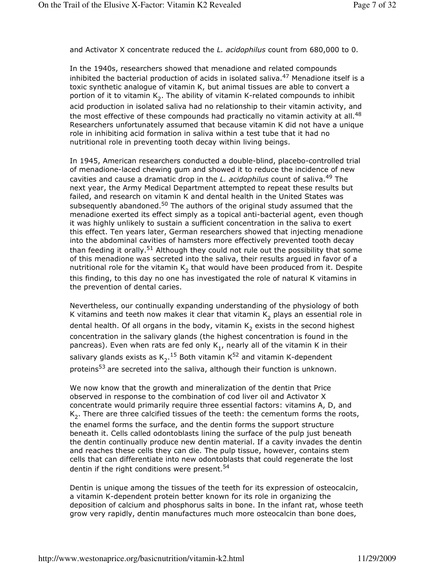and Activator X concentrate reduced the L. acidophilus count from 680,000 to 0.

In the 1940s, researchers showed that menadione and related compounds inhibited the bacterial production of acids in isolated saliva.<sup>47</sup> Menadione itself is a toxic synthetic analogue of vitamin K, but animal tissues are able to convert a portion of it to vitamin  $\mathsf{K}_2.$  The ability of vitamin K-related compounds to inhibit acid production in isolated saliva had no relationship to their vitamin activity, and the most effective of these compounds had practically no vitamin activity at all.<sup>48</sup> Researchers unfortunately assumed that because vitamin K did not have a unique role in inhibiting acid formation in saliva within a test tube that it had no nutritional role in preventing tooth decay within living beings.

In 1945, American researchers conducted a double-blind, placebo-controlled trial of menadione-laced chewing gum and showed it to reduce the incidence of new cavities and cause a dramatic drop in the L. acidophilus count of saliva.<sup>49</sup> The next year, the Army Medical Department attempted to repeat these results but failed, and research on vitamin K and dental health in the United States was subsequently abandoned. $50$  The authors of the original study assumed that the menadione exerted its effect simply as a topical anti-bacterial agent, even though it was highly unlikely to sustain a sufficient concentration in the saliva to exert this effect. Ten years later, German researchers showed that injecting menadione into the abdominal cavities of hamsters more effectively prevented tooth decay than feeding it orally.<sup>51</sup> Although they could not rule out the possibility that some of this menadione was secreted into the saliva, their results argued in favor of a nutritional role for the vitamin  $\mathsf{K}_2$  that would have been produced from it. Despite this finding, to this day no one has investigated the role of natural K vitamins in the prevention of dental caries.

Nevertheless, our continually expanding understanding of the physiology of both K vitamins and teeth now makes it clear that vitamin  $\mathsf{K}_2$  plays an essential role in dental health. Of all organs in the body, vitamin  $\mathsf{K}_2$  exists in the second highest concentration in the salivary glands (the highest concentration is found in the pancreas). Even when rats are fed only  $\mathsf{K}_1$ , nearly all of the vitamin K in their salivary glands exists as  $\mathsf{K}_2$ .<sup>15</sup> Both vitamin K<sup>52</sup> and vitamin K-dependent proteins<sup>53</sup> are secreted into the saliva, although their function is unknown.

We now know that the growth and mineralization of the dentin that Price observed in response to the combination of cod liver oil and Activator X concentrate would primarily require three essential factors: vitamins A, D, and  $\mathsf{K}_2.$  There are three calcified tissues of the teeth: the cementum forms the roots, the enamel forms the surface, and the dentin forms the support structure beneath it. Cells called odontoblasts lining the surface of the pulp just beneath the dentin continually produce new dentin material. If a cavity invades the dentin and reaches these cells they can die. The pulp tissue, however, contains stem cells that can differentiate into new odontoblasts that could regenerate the lost dentin if the right conditions were present.<sup>54</sup>

Dentin is unique among the tissues of the teeth for its expression of osteocalcin, a vitamin K-dependent protein better known for its role in organizing the deposition of calcium and phosphorus salts in bone. In the infant rat, whose teeth grow very rapidly, dentin manufactures much more osteocalcin than bone does,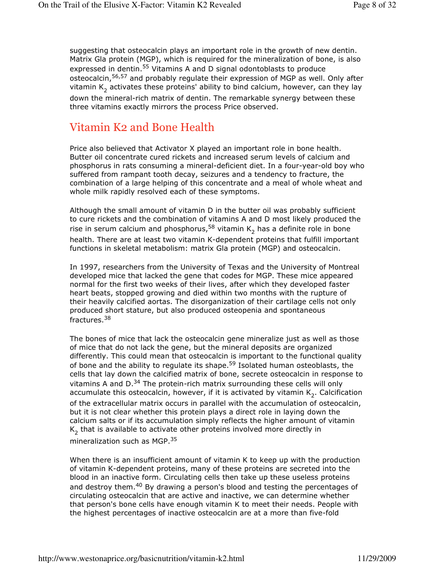suggesting that osteocalcin plays an important role in the growth of new dentin. Matrix Gla protein (MGP), which is required for the mineralization of bone, is also expressed in dentin.<sup>55</sup> Vitamins A and D signal odontoblasts to produce osteocalcin,<sup>56,57</sup> and probably regulate their expression of MGP as well. Only after vitamin  $\mathsf{K}_2$  activates these proteins' ability to bind calcium, however, can they lay down the mineral-rich matrix of dentin. The remarkable synergy between these three vitamins exactly mirrors the process Price observed.

## Vitamin K2 and Bone Health

Price also believed that Activator X played an important role in bone health. Butter oil concentrate cured rickets and increased serum levels of calcium and phosphorus in rats consuming a mineral-deficient diet. In a four-year-old boy who suffered from rampant tooth decay, seizures and a tendency to fracture, the combination of a large helping of this concentrate and a meal of whole wheat and whole milk rapidly resolved each of these symptoms.

Although the small amount of vitamin D in the butter oil was probably sufficient to cure rickets and the combination of vitamins A and D most likely produced the rise in serum calcium and phosphorus, $^{58}$  vitamin  $\mathsf{K}_2$  has a definite role in bone health. There are at least two vitamin K-dependent proteins that fulfill important functions in skeletal metabolism: matrix Gla protein (MGP) and osteocalcin.

In 1997, researchers from the University of Texas and the University of Montreal developed mice that lacked the gene that codes for MGP. These mice appeared normal for the first two weeks of their lives, after which they developed faster heart beats, stopped growing and died within two months with the rupture of their heavily calcified aortas. The disorganization of their cartilage cells not only produced short stature, but also produced osteopenia and spontaneous fractures.<sup>38</sup>

The bones of mice that lack the osteocalcin gene mineralize just as well as those of mice that do not lack the gene, but the mineral deposits are organized differently. This could mean that osteocalcin is important to the functional quality of bone and the ability to regulate its shape.59 Isolated human osteoblasts, the cells that lay down the calcified matrix of bone, secrete osteocalcin in response to vitamins A and  $D^{34}$  The protein-rich matrix surrounding these cells will only accumulate this osteocalcin, however, if it is activated by vitamin  $\mathsf{K}_2.$  Calcification of the extracellular matrix occurs in parallel with the accumulation of osteocalcin, but it is not clear whether this protein plays a direct role in laying down the calcium salts or if its accumulation simply reflects the higher amount of vitamin  $\mathsf{K}_2^{}$  that is available to activate other proteins involved more directly in mineralization such as MGP.<sup>35</sup>

When there is an insufficient amount of vitamin K to keep up with the production of vitamin K-dependent proteins, many of these proteins are secreted into the blood in an inactive form. Circulating cells then take up these useless proteins and destroy them.<sup>40</sup> By drawing a person's blood and testing the percentages of circulating osteocalcin that are active and inactive, we can determine whether that person's bone cells have enough vitamin K to meet their needs. People with the highest percentages of inactive osteocalcin are at a more than five-fold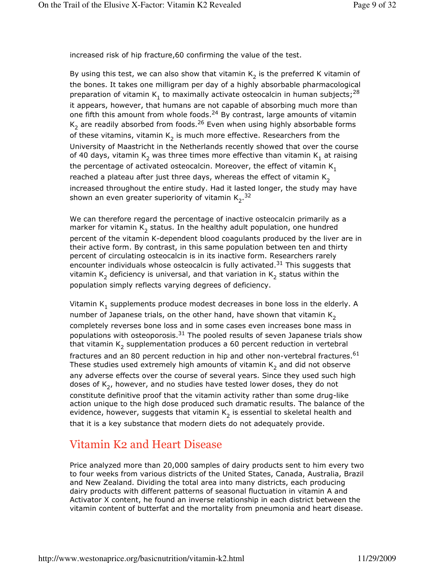increased risk of hip fracture,60 confirming the value of the test.

By using this test, we can also show that vitamin  $\mathsf{K}_2$  is the preferred K vitamin of the bones. It takes one milligram per day of a highly absorbable pharmacological preparation of vitamin  $\mathsf{K}_1^{}$  to maximally activate osteocalcin in human subjects;  $^{28}$ it appears, however, that humans are not capable of absorbing much more than one fifth this amount from whole foods.24 By contrast, large amounts of vitamin  $\mathsf{K}_2$  are readily absorbed from foods. $^{26}$  Even when using highly absorbable forms of these vitamins, vitamin  $\mathsf{K}_2$  is much more effective. Researchers from the University of Maastricht in the Netherlands recently showed that over the course of 40 days, vitamin  $\mathsf{K}_2$  was three times more effective than vitamin  $\mathsf{K}_1$  at raising the percentage of activated osteocalcin. Moreover, the effect of vitamin  $K_1$ reached a plateau after just three days, whereas the effect of vitamin  $K_2$ increased throughout the entire study. Had it lasted longer, the study may have shown an even greater superiority of vitamin K<sub>2</sub>.<sup>32</sup>

We can therefore regard the percentage of inactive osteocalcin primarily as a marker for vitamin  $\mathsf{K}_2$  status. In the healthy adult population, one hundred percent of the vitamin K-dependent blood coagulants produced by the liver are in their active form. By contrast, in this same population between ten and thirty percent of circulating osteocalcin is in its inactive form. Researchers rarely encounter individuals whose osteocalcin is fully activated.<sup>31</sup> This suggests that vitamin  $\mathsf{K}_2$  deficiency is universal, and that variation in  $\mathsf{K}_2$  status within the population simply reflects varying degrees of deficiency.

Vitamin  $\mathsf{K}_1$  supplements produce modest decreases in bone loss in the elderly. A number of Japanese trials, on the other hand, have shown that vitamin  $K_2$ completely reverses bone loss and in some cases even increases bone mass in populations with osteoporosis. $31$  The pooled results of seven Japanese trials show that vitamin  $\mathsf{K}_2$  supplementation produces a 60 percent reduction in vertebral fractures and an 80 percent reduction in hip and other non-vertebral fractures.<sup>61</sup> These studies used extremely high amounts of vitamin  $\mathsf{K}_2$  and did not observe any adverse effects over the course of several years. Since they used such high doses of K<sub>2</sub>, however, and no studies have tested lower doses, they do not constitute definitive proof that the vitamin activity rather than some drug-like action unique to the high dose produced such dramatic results. The balance of the evidence, however, suggests that vitamin  $\mathsf{K}_2$  is essential to skeletal health and that it is a key substance that modern diets do not adequately provide.

# Vitamin K2 and Heart Disease

Price analyzed more than 20,000 samples of dairy products sent to him every two to four weeks from various districts of the United States, Canada, Australia, Brazil and New Zealand. Dividing the total area into many districts, each producing dairy products with different patterns of seasonal fluctuation in vitamin A and Activator X content, he found an inverse relationship in each district between the vitamin content of butterfat and the mortality from pneumonia and heart disease.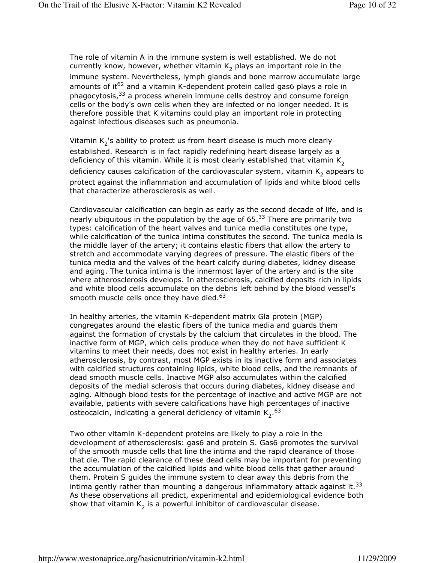The role of vitamin A in the immune system is well established. We do not currently know, however, whether vitamin  $\mathsf{K}_2$  plays an important role in the immune system. Nevertheless, lymph glands and bone marrow accumulate large amounts of it<sup>62</sup> and a vitamin K-dependent protein called gas6 plays a role in phagocytosis, $33$  a process wherein immune cells destroy and consume foreign cells or the body's own cells when they are infected or no longer needed. It is therefore possible that K vitamins could play an important role in protecting against infectious diseases such as pneumonia.

Vitamin K<sub>2</sub>'s ability to protect us from heart disease is much more clearly established. Research is in fact rapidly redefining heart disease largely as a deficiency of this vitamin. While it is most clearly established that vitamin  $K<sub>2</sub>$ deficiency causes calcification of the cardiovascular system, vitamin  $\mathsf{K}_2$  appears to protect against the inflammation and accumulation of lipids and white blood cells that characterize atherosclerosis as well.

Cardiovascular calcification can begin as early as the second decade of life, and is nearly ubiquitous in the population by the age of 65.<sup>33</sup> There are primarily two types: calcification of the heart valves and tunica media constitutes one type, while calcification of the tunica intima constitutes the second. The tunica media is the middle layer of the artery; it contains elastic fibers that allow the artery to stretch and accommodate varying degrees of pressure. The elastic fibers of the tunica media and the valves of the heart calcify during diabetes, kidney disease and aging. The tunica intima is the innermost layer of the artery and is the site where atherosclerosis develops. In atherosclerosis, calcified deposits rich in lipids and white blood cells accumulate on the debris left behind by the blood vessel's smooth muscle cells once they have died. $63$ 

In healthy arteries, the vitamin K-dependent matrix Gla protein (MGP) congregates around the elastic fibers of the tunica media and guards them against the formation of crystals by the calcium that circulates in the blood. The inactive form of MGP, which cells produce when they do not have sufficient K vitamins to meet their needs, does not exist in healthy arteries. In early atherosclerosis, by contrast, most MGP exists in its inactive form and associates with calcified structures containing lipids, white blood cells, and the remnants of dead smooth muscle cells. Inactive MGP also accumulates within the calcified deposits of the medial sclerosis that occurs during diabetes, kidney disease and aging. Although blood tests for the percentage of inactive and active MGP are not available, patients with severe calcifications have high percentages of inactive osteocalcin, indicating a general deficiency of vitamin  $\mathsf{K}_2.^{63}$ 

Two other vitamin K-dependent proteins are likely to play a role in the development of atherosclerosis: gas6 and protein S. Gas6 promotes the survival of the smooth muscle cells that line the intima and the rapid clearance of those that die. The rapid clearance of these dead cells may be important for preventing the accumulation of the calcified lipids and white blood cells that gather around them. Protein S guides the immune system to clear away this debris from the intima gently rather than mounting a dangerous inflammatory attack against it.<sup>33</sup> As these observations all predict, experimental and epidemiological evidence both show that vitamin  $\mathsf{K}_2$  is a powerful inhibitor of cardiovascular disease.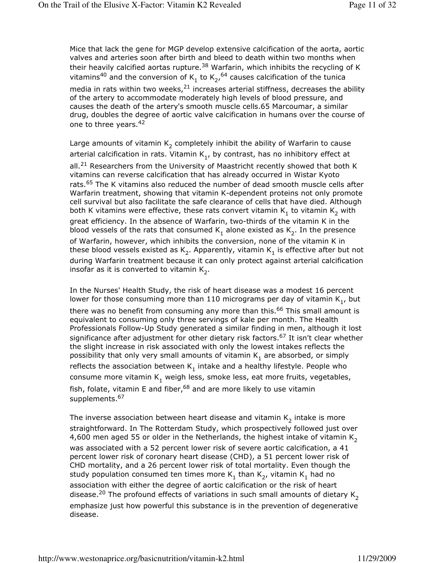Mice that lack the gene for MGP develop extensive calcification of the aorta, aortic valves and arteries soon after birth and bleed to death within two months when their heavily calcified aortas rupture. $38$  Warfarin, which inhibits the recycling of K vitamins<sup>40</sup> and the conversion of K<sub>1</sub> to K<sub>2</sub>,<sup>64</sup> causes calcification of the tunica

media in rats within two weeks, $^{21}$  increases arterial stiffness, decreases the ability of the artery to accommodate moderately high levels of blood pressure, and causes the death of the artery's smooth muscle cells.65 Marcoumar, a similar drug, doubles the degree of aortic valve calcification in humans over the course of one to three years.<sup>42</sup>

Large amounts of vitamin  $\mathsf{K}_2$  completely inhibit the ability of Warfarin to cause arterial calcification in rats. Vitamin  $\mathsf{K}_1^{}$ , by contrast, has no inhibitory effect at all.<sup>21</sup> Researchers from the University of Maastricht recently showed that both K vitamins can reverse calcification that has already occurred in Wistar Kyoto rats.<sup>65</sup> The K vitamins also reduced the number of dead smooth muscle cells after Warfarin treatment, showing that vitamin K-dependent proteins not only promote cell survival but also facilitate the safe clearance of cells that have died. Although both K vitamins were effective, these rats convert vitamin  $\mathsf{K}_1$  to vitamin  $\mathsf{K}_2$  with great efficiency. In the absence of Warfarin, two-thirds of the vitamin K in the blood vessels of the rats that consumed  $\mathsf{K}_1$  alone existed as  $\mathsf{K}_2$ . In the presence of Warfarin, however, which inhibits the conversion, none of the vitamin K in these blood vessels existed as K<sub>2</sub>. Apparently, vitamin K<sub>1</sub> is effective after but not during Warfarin treatment because it can only protect against arterial calcification insofar as it is converted to vitamin  $\mathsf{K}_2.$ 

In the Nurses' Health Study, the risk of heart disease was a modest 16 percent lower for those consuming more than 110 micrograms per day of vitamin  $\mathsf{K}_1^{}$ , but there was no benefit from consuming any more than this.<sup>66</sup> This small amount is equivalent to consuming only three servings of kale per month. The Health Professionals Follow-Up Study generated a similar finding in men, although it lost significance after adjustment for other dietary risk factors.<sup>67</sup> It isn't clear whether the slight increase in risk associated with only the lowest intakes reflects the possibility that only very small amounts of vitamin  $\mathsf{K}_1$  are absorbed, or simply reflects the association between  $\mathsf{K}_1$  intake and a healthy lifestyle. People who consume more vitamin K<sub>1</sub> weigh less, smoke less, eat more fruits, vegetables, fish, folate, vitamin E and fiber,  $68$  and are more likely to use vitamin supplements.<sup>67</sup>

The inverse association between heart disease and vitamin  $\mathsf{K}_2$  intake is more straightforward. In The Rotterdam Study, which prospectively followed just over 4,600 men aged 55 or older in the Netherlands, the highest intake of vitamin  $K<sub>2</sub>$ was associated with a 52 percent lower risk of severe aortic calcification, a 41 percent lower risk of coronary heart disease (CHD), a 51 percent lower risk of CHD mortality, and a 26 percent lower risk of total mortality. Even though the study population consumed ten times more  $\mathsf{K}_1$  than  $\mathsf{K}_2$ , vitamin  $\mathsf{K}_1$  had no association with either the degree of aortic calcification or the risk of heart disease.<sup>20</sup> The profound effects of variations in such small amounts of dietary  $K_2$ emphasize just how powerful this substance is in the prevention of degenerative disease.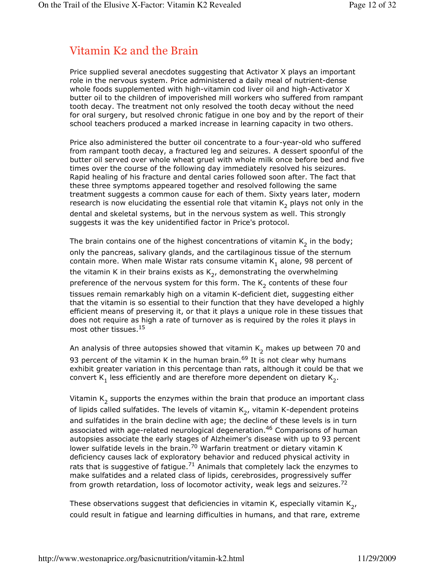# Vitamin K2 and the Brain

Price supplied several anecdotes suggesting that Activator X plays an important role in the nervous system. Price administered a daily meal of nutrient-dense whole foods supplemented with high-vitamin cod liver oil and high-Activator X butter oil to the children of impoverished mill workers who suffered from rampant tooth decay. The treatment not only resolved the tooth decay without the need for oral surgery, but resolved chronic fatigue in one boy and by the report of their school teachers produced a marked increase in learning capacity in two others.

Price also administered the butter oil concentrate to a four-year-old who suffered from rampant tooth decay, a fractured leg and seizures. A dessert spoonful of the butter oil served over whole wheat gruel with whole milk once before bed and five times over the course of the following day immediately resolved his seizures. Rapid healing of his fracture and dental caries followed soon after. The fact that these three symptoms appeared together and resolved following the same treatment suggests a common cause for each of them. Sixty years later, modern research is now elucidating the essential role that vitamin  $\mathsf{K}_2$  plays not only in the dental and skeletal systems, but in the nervous system as well. This strongly suggests it was the key unidentified factor in Price's protocol.

The brain contains one of the highest concentrations of vitamin  $\mathsf{K}_2$  in the body; only the pancreas, salivary glands, and the cartilaginous tissue of the sternum contain more. When male Wistar rats consume vitamin  $\mathsf{K}_1$  alone, 98 percent of the vitamin K in their brains exists as  $\mathsf{K}_2$ , demonstrating the overwhelming preference of the nervous system for this form. The  $\mathsf{K}_2$  contents of these four tissues remain remarkably high on a vitamin K-deficient diet, suggesting either that the vitamin is so essential to their function that they have developed a highly efficient means of preserving it, or that it plays a unique role in these tissues that does not require as high a rate of turnover as is required by the roles it plays in most other tissues.<sup>15</sup>

An analysis of three autopsies showed that vitamin  $\mathsf{K}_2$  makes up between 70 and 93 percent of the vitamin K in the human brain.<sup>69</sup> It is not clear why humans exhibit greater variation in this percentage than rats, although it could be that we convert  $\mathsf{K}_1$  less efficiently and are therefore more dependent on dietary  $\mathsf{K}_2.$ 

Vitamin  $\mathsf{K}_2$  supports the enzymes within the brain that produce an important class of lipids called sulfatides. The levels of vitamin  $\mathsf{K}_2$ , vitamin K-dependent proteins and sulfatides in the brain decline with age; the decline of these levels is in turn associated with age-related neurological degeneration.<sup>46</sup> Comparisons of human autopsies associate the early stages of Alzheimer's disease with up to 93 percent lower sulfatide levels in the brain.<sup>70</sup> Warfarin treatment or dietary vitamin K deficiency causes lack of exploratory behavior and reduced physical activity in rats that is suggestive of fatigue.<sup>71</sup> Animals that completely lack the enzymes to make sulfatides and a related class of lipids, cerebrosides, progressively suffer from growth retardation, loss of locomotor activity, weak legs and seizures.<sup>72</sup>

These observations suggest that deficiencies in vitamin K, especially vitamin  $\mathsf{K}_{\mathsf{2}'}$ could result in fatigue and learning difficulties in humans, and that rare, extreme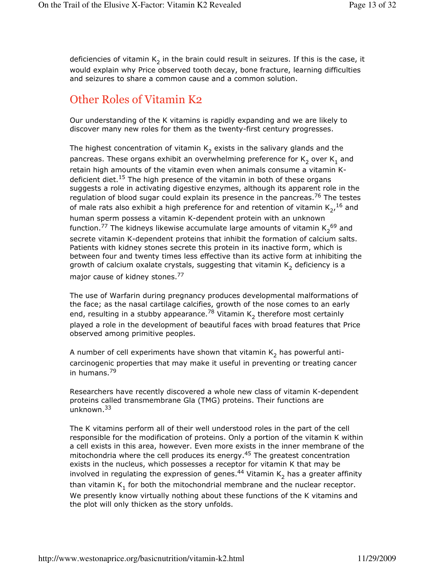deficiencies of vitamin  $\mathsf{K}_2$  in the brain could result in seizures. If this is the case, it would explain why Price observed tooth decay, bone fracture, learning difficulties and seizures to share a common cause and a common solution.

# Other Roles of Vitamin K2

Our understanding of the K vitamins is rapidly expanding and we are likely to discover many new roles for them as the twenty-first century progresses.

The highest concentration of vitamin  $\mathsf{K}_2$  exists in the salivary glands and the pancreas. These organs exhibit an overwhelming preference for  $\mathsf{K}_2$  over  $\mathsf{K}_1$  and retain high amounts of the vitamin even when animals consume a vitamin Kdeficient diet.<sup>15</sup> The high presence of the vitamin in both of these organs suggests a role in activating digestive enzymes, although its apparent role in the regulation of blood sugar could explain its presence in the pancreas.<sup>76</sup> The testes of male rats also exhibit a high preference for and retention of vitamin  $\mathsf{K}_{2'}^{-16}$  and human sperm possess a vitamin K-dependent protein with an unknown function.<sup>77</sup> The kidneys likewise accumulate large amounts of vitamin  $\mathsf{K}_{2}^{\;69}$  and secrete vitamin K-dependent proteins that inhibit the formation of calcium salts. Patients with kidney stones secrete this protein in its inactive form, which is between four and twenty times less effective than its active form at inhibiting the growth of calcium oxalate crystals, suggesting that vitamin  $\mathsf{K}_2$  deficiency is a major cause of kidney stones.<sup>77</sup>

The use of Warfarin during pregnancy produces developmental malformations of the face; as the nasal cartilage calcifies, growth of the nose comes to an early end, resulting in a stubby appearance.<sup>78</sup> Vitamin  $\mathsf{K}_2$  therefore most certainly played a role in the development of beautiful faces with broad features that Price observed among primitive peoples.

A number of cell experiments have shown that vitamin  $\mathsf{K}_2$  has powerful anticarcinogenic properties that may make it useful in preventing or treating cancer in humans.<sup>79</sup>

Researchers have recently discovered a whole new class of vitamin K-dependent proteins called transmembrane Gla (TMG) proteins. Their functions are unknown.<sup>33</sup>

The K vitamins perform all of their well understood roles in the part of the cell responsible for the modification of proteins. Only a portion of the vitamin K within a cell exists in this area, however. Even more exists in the inner membrane of the mitochondria where the cell produces its energy. $45$  The greatest concentration exists in the nucleus, which possesses a receptor for vitamin K that may be involved in regulating the expression of genes. $^{44}$  Vitamin K<sub>2</sub> has a greater affinity than vitamin  $\mathsf{K}_1$  for both the mitochondrial membrane and the nuclear receptor. We presently know virtually nothing about these functions of the K vitamins and the plot will only thicken as the story unfolds.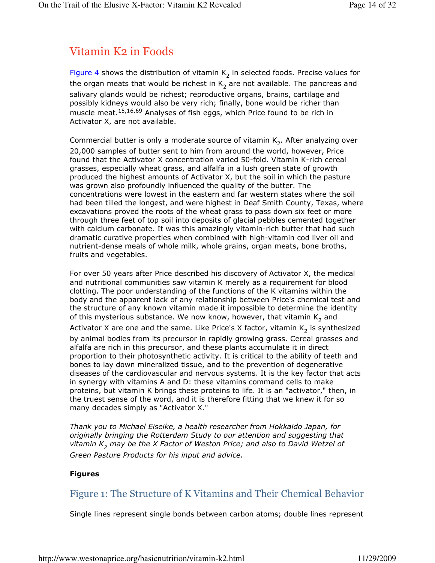# Vitamin K2 in Foods

<u>Figure 4</u> shows the distribution of vitamin  $\mathsf{K}_2$  in selected foods. Precise values for the organ meats that would be richest in  $\mathsf{K}_2$  are not available. The pancreas and salivary glands would be richest; reproductive organs, brains, cartilage and possibly kidneys would also be very rich; finally, bone would be richer than muscle meat.<sup>15,16,69</sup> Analyses of fish eggs, which Price found to be rich in Activator X, are not available.

Commercial butter is only a moderate source of vitamin  $\mathsf{K}_2$ . After analyzing over 20,000 samples of butter sent to him from around the world, however, Price found that the Activator X concentration varied 50-fold. Vitamin K-rich cereal grasses, especially wheat grass, and alfalfa in a lush green state of growth produced the highest amounts of Activator X, but the soil in which the pasture was grown also profoundly influenced the quality of the butter. The concentrations were lowest in the eastern and far western states where the soil had been tilled the longest, and were highest in Deaf Smith County, Texas, where excavations proved the roots of the wheat grass to pass down six feet or more through three feet of top soil into deposits of glacial pebbles cemented together with calcium carbonate. It was this amazingly vitamin-rich butter that had such dramatic curative properties when combined with high-vitamin cod liver oil and nutrient-dense meals of whole milk, whole grains, organ meats, bone broths, fruits and vegetables.

For over 50 years after Price described his discovery of Activator X, the medical and nutritional communities saw vitamin K merely as a requirement for blood clotting. The poor understanding of the functions of the K vitamins within the body and the apparent lack of any relationship between Price's chemical test and the structure of any known vitamin made it impossible to determine the identity of this mysterious substance. We now know, however, that vitamin  $\mathsf{K}_2$  and

Activator X are one and the same. Like Price's X factor, vitamin  $\mathsf{K}_2$  is synthesized by animal bodies from its precursor in rapidly growing grass. Cereal grasses and alfalfa are rich in this precursor, and these plants accumulate it in direct proportion to their photosynthetic activity. It is critical to the ability of teeth and bones to lay down mineralized tissue, and to the prevention of degenerative diseases of the cardiovascular and nervous systems. It is the key factor that acts in synergy with vitamins A and D: these vitamins command cells to make proteins, but vitamin K brings these proteins to life. It is an "activator," then, in the truest sense of the word, and it is therefore fitting that we knew it for so many decades simply as "Activator X."

Thank you to Michael Eiseike, a health researcher from Hokkaido Japan, for originally bringing the Rotterdam Study to our attention and suggesting that vitamin  $K^{}_2$  may be the X Factor of Weston Price; and also to David Wetzel of Green Pasture Products for his input and advice.

#### Figures

## Figure 1: The Structure of K Vitamins and Their Chemical Behavior

Single lines represent single bonds between carbon atoms; double lines represent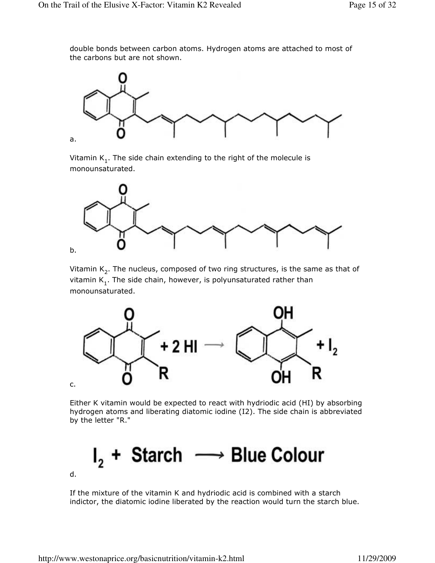double bonds between carbon atoms. Hydrogen atoms are attached to most of the carbons but are not shown.



Vitamin  $\mathsf{K}_1.$  The side chain extending to the right of the molecule is monounsaturated.



Vitamin  $\mathsf{K}_2.$  The nucleus, composed of two ring structures, is the same as that of vitamin  $\mathsf{K}_1.$  The side chain, however, is polyunsaturated rather than monounsaturated.



Either K vitamin would be expected to react with hydriodic acid (HI) by absorbing hydrogen atoms and liberating diatomic iodine (I2). The side chain is abbreviated by the letter "R."

 $I_2$  + Starch  $\longrightarrow$  Blue Colour d.

If the mixture of the vitamin K and hydriodic acid is combined with a starch indictor, the diatomic iodine liberated by the reaction would turn the starch blue.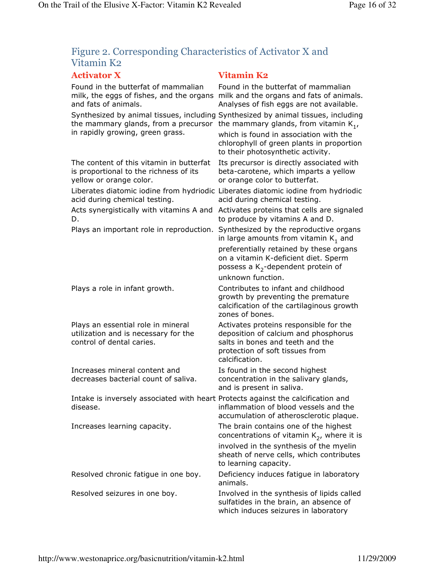## Figure 2. Corresponding Characteristics of Activator X and Vitamin K2

## Activator X Vitamin K2

| Found in the butterfat of mammalian<br>milk, the eggs of fishes, and the organs<br>and fats of animals.<br>the mammary glands, from a precursor | Found in the butterfat of mammalian<br>milk and the organs and fats of animals.<br>Analyses of fish eggs are not available.<br>Synthesized by animal tissues, including Synthesized by animal tissues, including<br>the mammary glands, from vitamin $K_1$ , |  |
|-------------------------------------------------------------------------------------------------------------------------------------------------|--------------------------------------------------------------------------------------------------------------------------------------------------------------------------------------------------------------------------------------------------------------|--|
| in rapidly growing, green grass.                                                                                                                | which is found in association with the<br>chlorophyll of green plants in proportion<br>to their photosynthetic activity.                                                                                                                                     |  |
| The content of this vitamin in butterfat<br>is proportional to the richness of its<br>yellow or orange color.                                   | Its precursor is directly associated with<br>beta-carotene, which imparts a yellow<br>or orange color to butterfat.                                                                                                                                          |  |
| acid during chemical testing.                                                                                                                   | Liberates diatomic iodine from hydriodic Liberates diatomic iodine from hydriodic<br>acid during chemical testing.                                                                                                                                           |  |
| Acts synergistically with vitamins A and<br>D.                                                                                                  | Activates proteins that cells are signaled<br>to produce by vitamins A and D.                                                                                                                                                                                |  |
| Plays an important role in reproduction.                                                                                                        | Synthesized by the reproductive organs<br>in large amounts from vitamin K <sub>1</sub> and                                                                                                                                                                   |  |
|                                                                                                                                                 | preferentially retained by these organs<br>on a vitamin K-deficient diet. Sperm<br>possess a $K_2$ -dependent protein of                                                                                                                                     |  |
|                                                                                                                                                 | unknown function.                                                                                                                                                                                                                                            |  |
| Plays a role in infant growth.                                                                                                                  | Contributes to infant and childhood<br>growth by preventing the premature<br>calcification of the cartilaginous growth<br>zones of bones.                                                                                                                    |  |
| Plays an essential role in mineral<br>utilization and is necessary for the<br>control of dental caries.                                         | Activates proteins responsible for the<br>deposition of calcium and phosphorus<br>salts in bones and teeth and the<br>protection of soft tissues from<br>calcification.                                                                                      |  |
| Increases mineral content and<br>decreases bacterial count of saliva.                                                                           | Is found in the second highest<br>concentration in the salivary glands,<br>and is present in saliva.                                                                                                                                                         |  |
| Intake is inversely associated with heart Protects against the calcification and<br>disease.                                                    | inflammation of blood vessels and the<br>accumulation of atherosclerotic plaque.                                                                                                                                                                             |  |
| Increases learning capacity.                                                                                                                    | The brain contains one of the highest<br>concentrations of vitamin $K_2$ , where it is                                                                                                                                                                       |  |
|                                                                                                                                                 | involved in the synthesis of the myelin<br>sheath of nerve cells, which contributes<br>to learning capacity.                                                                                                                                                 |  |
| Resolved chronic fatigue in one boy.                                                                                                            | Deficiency induces fatigue in laboratory<br>animals.                                                                                                                                                                                                         |  |
| Resolved seizures in one boy.                                                                                                                   | Involved in the synthesis of lipids called<br>sulfatides in the brain, an absence of<br>which induces seizures in laboratory                                                                                                                                 |  |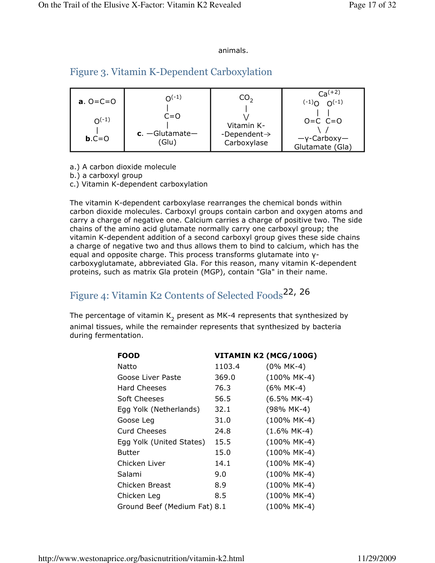#### animals.

## Figure 3. Vitamin K-Dependent Carboxylation

| <b>a.</b> $0 = C = 0$ | $O(-1)$                              | CO.,                                                  | $Ca^{(+2)}$<br>$(-1)$ $O(-1)$                         |
|-----------------------|--------------------------------------|-------------------------------------------------------|-------------------------------------------------------|
| $O(-1)$<br>$b.C=0$    | $C = 0$<br>$c.$ -Glutamate-<br>(Glu) | Vitamin K-<br>-Dependent $\rightarrow$<br>Carboxylase | $O=C$ $C=O$<br>$-\gamma$ -Carboxy-<br>Glutamate (Gla) |

- a.) A carbon dioxide molecule
- b.) a carboxyl group
- c.) Vitamin K-dependent carboxylation

The vitamin K-dependent carboxylase rearranges the chemical bonds within carbon dioxide molecules. Carboxyl groups contain carbon and oxygen atoms and carry a charge of negative one. Calcium carries a charge of positive two. The side chains of the amino acid glutamate normally carry one carboxyl group; the vitamin K-dependent addition of a second carboxyl group gives these side chains a charge of negative two and thus allows them to bind to calcium, which has the equal and opposite charge. This process transforms glutamate into γcarboxyglutamate, abbreviated Gla. For this reason, many vitamin K-dependent proteins, such as matrix Gla protein (MGP), contain "Gla" in their name.

# Figure 4: Vitamin K2 Contents of Selected Foods<sup>22, 26</sup>

The percentage of vitamin  $\mathsf{K}_2$  present as MK-4 represents that synthesized by animal tissues, while the remainder represents that synthesized by bacteria during fermentation.

| <b>FOOD</b>                  |        | VITAMIN K2 (MCG/100G) |
|------------------------------|--------|-----------------------|
| Natto                        | 1103.4 | $(0\%$ MK-4)          |
| Goose Liver Paste            | 369.0  | $(100\%$ MK-4)        |
| <b>Hard Cheeses</b>          | 76.3   | $(6\%$ MK-4)          |
| Soft Cheeses                 | 56.5   | $(6.5\%$ MK-4)        |
| Egg Yolk (Netherlands)       | 32.1   | (98% MK-4)            |
| Goose Leg                    | 31.0   | $(100\%$ MK-4)        |
| <b>Curd Cheeses</b>          | 24.8   | $(1.6\%$ MK-4)        |
| Egg Yolk (United States)     | 15.5   | $(100\%$ MK-4)        |
| <b>Butter</b>                | 15.0   | $(100\%$ MK-4)        |
| Chicken Liver                | 14.1   | $(100\%$ MK-4)        |
| Salami                       | 9.0    | $(100\%$ MK-4)        |
| Chicken Breast               | 8.9    | $(100\%$ MK-4)        |
| Chicken Leg                  | 8.5    | $(100\%$ MK-4)        |
| Ground Beef (Medium Fat) 8.1 |        | (100% MK-4)           |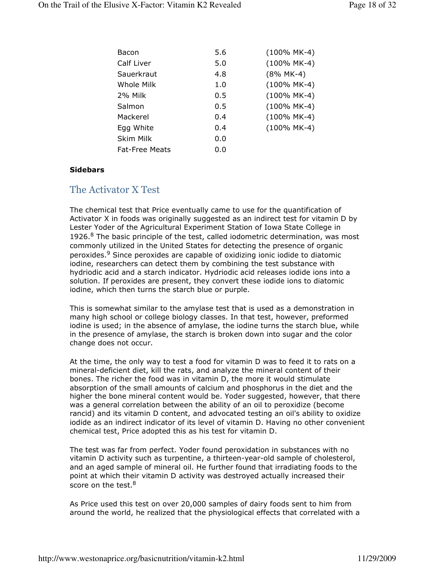| Bacon                 | 5.6 | $(100\%$ MK-4) |
|-----------------------|-----|----------------|
| Calf Liver            | 5.0 | $(100\%$ MK-4) |
| Sauerkraut            | 4.8 | $(8\%$ MK-4)   |
| <b>Whole Milk</b>     | 1.0 | $(100\%$ MK-4) |
| 2% Milk               | 0.5 | $(100\%$ MK-4) |
| Salmon                | 0.5 | $(100\%$ MK-4) |
| Mackerel              | 0.4 | $(100\%$ MK-4) |
| Egg White             | 0.4 | $(100\%$ MK-4) |
| <b>Skim Milk</b>      | 0.0 |                |
| <b>Fat-Free Meats</b> | 0.0 |                |

#### **Sidebars**

#### The Activator X Test

The chemical test that Price eventually came to use for the quantification of Activator X in foods was originally suggested as an indirect test for vitamin D by Lester Yoder of the Agricultural Experiment Station of Iowa State College in 1926.<sup>8</sup> The basic principle of the test, called iodometric determination, was most commonly utilized in the United States for detecting the presence of organic peroxides.<sup>9</sup> Since peroxides are capable of oxidizing ionic iodide to diatomic iodine, researchers can detect them by combining the test substance with hydriodic acid and a starch indicator. Hydriodic acid releases iodide ions into a solution. If peroxides are present, they convert these iodide ions to diatomic iodine, which then turns the starch blue or purple.

This is somewhat similar to the amylase test that is used as a demonstration in many high school or college biology classes. In that test, however, preformed iodine is used; in the absence of amylase, the iodine turns the starch blue, while in the presence of amylase, the starch is broken down into sugar and the color change does not occur.

At the time, the only way to test a food for vitamin D was to feed it to rats on a mineral-deficient diet, kill the rats, and analyze the mineral content of their bones. The richer the food was in vitamin D, the more it would stimulate absorption of the small amounts of calcium and phosphorus in the diet and the higher the bone mineral content would be. Yoder suggested, however, that there was a general correlation between the ability of an oil to peroxidize (become rancid) and its vitamin D content, and advocated testing an oil's ability to oxidize iodide as an indirect indicator of its level of vitamin D. Having no other convenient chemical test, Price adopted this as his test for vitamin D.

The test was far from perfect. Yoder found peroxidation in substances with no vitamin D activity such as turpentine, a thirteen-year-old sample of cholesterol, and an aged sample of mineral oil. He further found that irradiating foods to the point at which their vitamin D activity was destroyed actually increased their score on the test.<sup>8</sup>

As Price used this test on over 20,000 samples of dairy foods sent to him from around the world, he realized that the physiological effects that correlated with a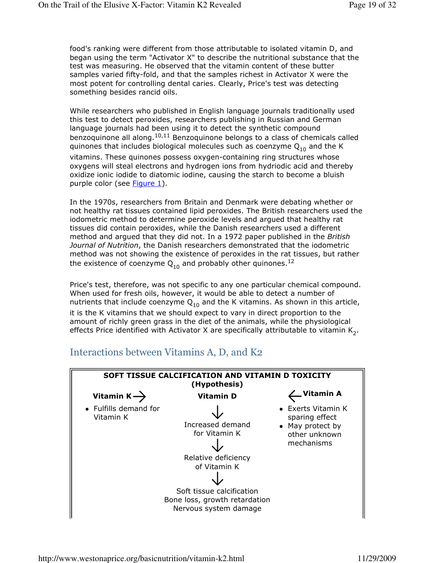food's ranking were different from those attributable to isolated vitamin D, and began using the term "Activator X" to describe the nutritional substance that the test was measuring. He observed that the vitamin content of these butter samples varied fifty-fold, and that the samples richest in Activator X were the most potent for controlling dental caries. Clearly, Price's test was detecting something besides rancid oils.

While researchers who published in English language journals traditionally used this test to detect peroxides, researchers publishing in Russian and German language journals had been using it to detect the synthetic compound benzoquinone all along.<sup>10,11</sup> Benzoquinone belongs to a class of chemicals called quinones that includes biological molecules such as coenzyme  $Q_{10}$  and the K

vitamins. These quinones possess oxygen-containing ring structures whose oxygens will steal electrons and hydrogen ions from hydriodic acid and thereby oxidize ionic iodide to diatomic iodine, causing the starch to become a bluish purple color (see **Figure 1**).

In the 1970s, researchers from Britain and Denmark were debating whether or not healthy rat tissues contained lipid peroxides. The British researchers used the iodometric method to determine peroxide levels and argued that healthy rat tissues did contain peroxides, while the Danish researchers used a different method and argued that they did not. In a 1972 paper published in the British Journal of Nutrition, the Danish researchers demonstrated that the iodometric method was not showing the existence of peroxides in the rat tissues, but rather the existence of coenzyme  $Q_{10}$  and probably other quinones.<sup>12</sup>

Price's test, therefore, was not specific to any one particular chemical compound. When used for fresh oils, however, it would be able to detect a number of nutrients that include coenzyme  $Q_{10}$  and the K vitamins. As shown in this article, it is the K vitamins that we should expect to vary in direct proportion to the amount of richly green grass in the diet of the animals, while the physiological effects Price identified with Activator X are specifically attributable to vitamin  $\mathsf{K}_2.$ 



## Interactions between Vitamins A, D, and K2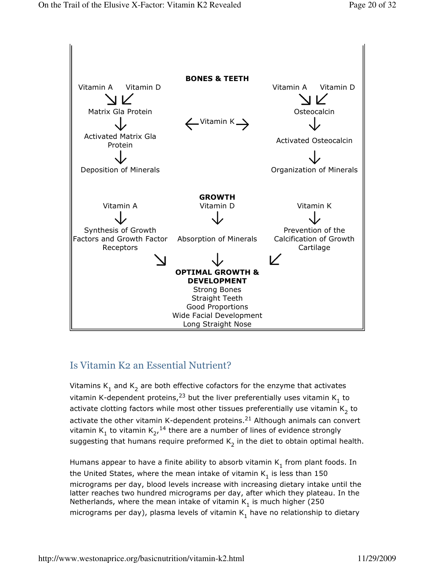

## Is Vitamin K2 an Essential Nutrient?

Vitamins  $\mathsf{K}_1$  and  $\mathsf{K}_2$  are both effective cofactors for the enzyme that activates vitamin K-dependent proteins,<sup>23</sup> but the liver preferentially uses vitamin K<sub>1</sub> to activate clotting factors while most other tissues preferentially use vitamin  $\mathsf{K}_2^{}$  to activate the other vitamin K-dependent proteins. $^{21}$  Although animals can convert vitamin  $K_1$  to vitamin  $K_2$ ,  $^{14}$  there are a number of lines of evidence strongly suggesting that humans require preformed  $\mathsf{K}_2$  in the diet to obtain optimal health.

Humans appear to have a finite ability to absorb vitamin  $\mathsf{K}_1$  from plant foods. In the United States, where the mean intake of vitamin  $\mathsf{K}_1$  is less than 150 micrograms per day, blood levels increase with increasing dietary intake until the latter reaches two hundred micrograms per day, after which they plateau. In the Netherlands, where the mean intake of vitamin  $\mathsf{K}_1$  is much higher (250 micrograms per day), plasma levels of vitamin  $\mathsf{K}_1$  have no relationship to dietary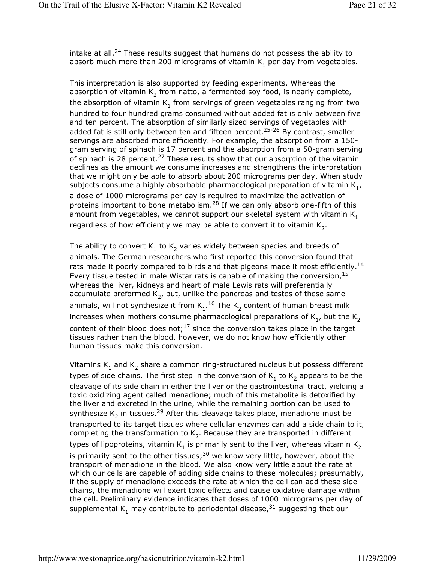intake at all.<sup>24</sup> These results suggest that humans do not possess the ability to absorb much more than 200 micrograms of vitamin  $\mathsf{K}_1$  per day from vegetables.

This interpretation is also supported by feeding experiments. Whereas the absorption of vitamin  $\mathsf{K}_2$  from natto, a fermented soy food, is nearly complete, the absorption of vitamin K<sub>1</sub> from servings of green vegetables ranging from two hundred to four hundred grams consumed without added fat is only between five and ten percent. The absorption of similarly sized servings of vegetables with added fat is still only between ten and fifteen percent.<sup>25-26</sup> By contrast, smaller servings are absorbed more efficiently. For example, the absorption from a 150 gram serving of spinach is 17 percent and the absorption from a 50-gram serving of spinach is 28 percent.<sup>27</sup> These results show that our absorption of the vitamin declines as the amount we consume increases and strengthens the interpretation that we might only be able to absorb about 200 micrograms per day. When study subjects consume a highly absorbable pharmacological preparation of vitamin  $\mathsf{K}_\mathbf{1}^{},$ a dose of 1000 micrograms per day is required to maximize the activation of proteins important to bone metabolism.<sup>28</sup> If we can only absorb one-fifth of this amount from vegetables, we cannot support our skeletal system with vitamin  $K_1$ regardless of how efficiently we may be able to convert it to vitamin  $\mathsf{K}_2$ .

The ability to convert  $\mathsf{K}_1$  to  $\mathsf{K}_2$  varies widely between species and breeds of animals. The German researchers who first reported this conversion found that rats made it poorly compared to birds and that pigeons made it most efficiently.<sup>14</sup> Every tissue tested in male Wistar rats is capable of making the conversion,  $15$ whereas the liver, kidneys and heart of male Lewis rats will preferentially accumulate preformed  $\mathsf{K}_2$ , but, unlike the pancreas and testes of these same animals, will not synthesize it from  $K_1$ .<sup>16</sup> The  $K_2$  content of human breast milk increases when mothers consume pharmacological preparations of  $\mathsf{K}_\mathbf{1}$ , but the  $\mathsf{K}_\mathbf{2}$ content of their blood does not;<sup>17</sup> since the conversion takes place in the target tissues rather than the blood, however, we do not know how efficiently other human tissues make this conversion.

Vitamins  $\mathsf{K}_1$  and  $\mathsf{K}_2$  share a common ring-structured nucleus but possess different types of side chains. The first step in the conversion of  $\mathsf{K}_1$  to  $\mathsf{K}_2$  appears to be the cleavage of its side chain in either the liver or the gastrointestinal tract, yielding a toxic oxidizing agent called menadione; much of this metabolite is detoxified by the liver and excreted in the urine, while the remaining portion can be used to synthesize K<sub>2</sub> in tissues.<sup>29</sup> After this cleavage takes place, menadione must be transported to its target tissues where cellular enzymes can add a side chain to it, completing the transformation to  $\mathsf{K}_2$ . Because they are transported in different types of lipoproteins, vitamin  $\mathsf{K}_1$  is primarily sent to the liver, whereas vitamin  $\mathsf{K}_2$ is primarily sent to the other tissues; $30$  we know very little, however, about the transport of menadione in the blood. We also know very little about the rate at which our cells are capable of adding side chains to these molecules; presumably, if the supply of menadione exceeds the rate at which the cell can add these side chains, the menadione will exert toxic effects and cause oxidative damage within the cell. Preliminary evidence indicates that doses of 1000 micrograms per day of supplemental  $\mathsf{K}_1$  may contribute to periodontal disease, $^{31}$  suggesting that our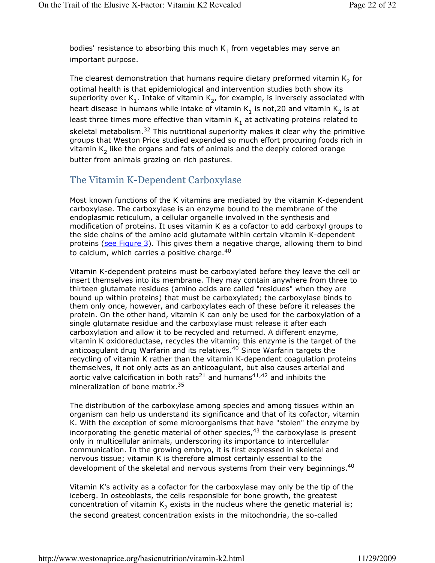bodies' resistance to absorbing this much  $\mathsf{K}_1$  from vegetables may serve an important purpose.

The clearest demonstration that humans require dietary preformed vitamin  $\mathsf{K}_2$  for optimal health is that epidemiological and intervention studies both show its superiority over K<sub>1</sub>. Intake of vitamin K<sub>2</sub>, for example, is inversely associated with heart disease in humans while intake of vitamin  $\mathsf{K}_1$  is not,20 and vitamin  $\mathsf{K}_2$  is at least three times more effective than vitamin  $\mathsf{K}_1$  at activating proteins related to skeletal metabolism.<sup>32</sup> This nutritional superiority makes it clear why the primitive groups that Weston Price studied expended so much effort procuring foods rich in vitamin  $\mathsf{K}_2$  like the organs and fats of animals and the deeply colored orange butter from animals grazing on rich pastures.

## The Vitamin K-Dependent Carboxylase

Most known functions of the K vitamins are mediated by the vitamin K-dependent carboxylase. The carboxylase is an enzyme bound to the membrane of the endoplasmic reticulum, a cellular organelle involved in the synthesis and modification of proteins. It uses vitamin K as a cofactor to add carboxyl groups to the side chains of the amino acid glutamate within certain vitamin K-dependent proteins (see Figure 3). This gives them a negative charge, allowing them to bind to calcium, which carries a positive charge. $40$ 

Vitamin K-dependent proteins must be carboxylated before they leave the cell or insert themselves into its membrane. They may contain anywhere from three to thirteen glutamate residues (amino acids are called "residues" when they are bound up within proteins) that must be carboxylated; the carboxylase binds to them only once, however, and carboxylates each of these before it releases the protein. On the other hand, vitamin K can only be used for the carboxylation of a single glutamate residue and the carboxylase must release it after each carboxylation and allow it to be recycled and returned. A different enzyme, vitamin K oxidoreductase, recycles the vitamin; this enzyme is the target of the anticoagulant drug Warfarin and its relatives.<sup>40</sup> Since Warfarin targets the recycling of vitamin K rather than the vitamin K-dependent coagulation proteins themselves, it not only acts as an anticoagulant, but also causes arterial and aortic valve calcification in both rats<sup>21</sup> and humans<sup>41,42</sup> and inhibits the mineralization of bone matrix.<sup>35</sup>

The distribution of the carboxylase among species and among tissues within an organism can help us understand its significance and that of its cofactor, vitamin K. With the exception of some microorganisms that have "stolen" the enzyme by incorporating the genetic material of other species, $43$  the carboxylase is present only in multicellular animals, underscoring its importance to intercellular communication. In the growing embryo, it is first expressed in skeletal and nervous tissue; vitamin K is therefore almost certainly essential to the development of the skeletal and nervous systems from their very beginnings.<sup>40</sup>

Vitamin K's activity as a cofactor for the carboxylase may only be the tip of the iceberg. In osteoblasts, the cells responsible for bone growth, the greatest concentration of vitamin  $\mathsf{K}_2$  exists in the nucleus where the genetic material is; the second greatest concentration exists in the mitochondria, the so-called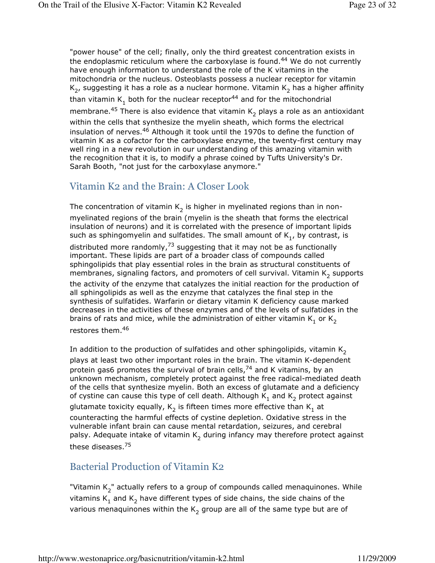"power house" of the cell; finally, only the third greatest concentration exists in the endoplasmic reticulum where the carboxylase is found.<sup>44</sup> We do not currently have enough information to understand the role of the K vitamins in the mitochondria or the nucleus. Osteoblasts possess a nuclear receptor for vitamin  $\mathsf{K}_2$ , suggesting it has a role as a nuclear hormone. Vitamin  $\mathsf{K}_2$  has a higher affinity than vitamin  $\mathsf{K}_1$  both for the nuclear receptor<sup>44</sup> and for the mitochondrial membrane. $^{45}$  There is also evidence that vitamin  $\mathsf{K}_2$  plays a role as an antioxidant within the cells that synthesize the myelin sheath, which forms the electrical insulation of nerves.<sup>46</sup> Although it took until the 1970s to define the function of vitamin K as a cofactor for the carboxylase enzyme, the twenty-first century may well ring in a new revolution in our understanding of this amazing vitamin with the recognition that it is, to modify a phrase coined by Tufts University's Dr. Sarah Booth, "not just for the carboxylase anymore."

## Vitamin K2 and the Brain: A Closer Look

The concentration of vitamin  $\mathsf{K}_2$  is higher in myelinated regions than in nonmyelinated regions of the brain (myelin is the sheath that forms the electrical insulation of neurons) and it is correlated with the presence of important lipids such as sphingomyelin and sulfatides. The small amount of  $\mathsf{K}_\mathbf{1}$ , by contrast, is distributed more randomly,  $73$  suggesting that it may not be as functionally important. These lipids are part of a broader class of compounds called sphingolipids that play essential roles in the brain as structural constituents of membranes, signaling factors, and promoters of cell survival. Vitamin  $\mathsf{K}_2$  supports the activity of the enzyme that catalyzes the initial reaction for the production of all sphingolipids as well as the enzyme that catalyzes the final step in the synthesis of sulfatides. Warfarin or dietary vitamin K deficiency cause marked decreases in the activities of these enzymes and of the levels of sulfatides in the brains of rats and mice, while the administration of either vitamin  $\mathsf{K}_1^{}$  or  $\mathsf{K}_2^{}$ restores them.<sup>46</sup>

In addition to the production of sulfatides and other sphingolipids, vitamin  $K<sub>2</sub>$ plays at least two other important roles in the brain. The vitamin K-dependent protein gas6 promotes the survival of brain cells, $74$  and K vitamins, by an unknown mechanism, completely protect against the free radical-mediated death of the cells that synthesize myelin. Both an excess of glutamate and a deficiency of cystine can cause this type of cell death. Although  $\mathsf{K}_1$  and  $\mathsf{K}_2$  protect against glutamate toxicity equally,  $\mathsf{K}_2$  is fifteen times more effective than  $\mathsf{K}_1$  at counteracting the harmful effects of cystine depletion. Oxidative stress in the vulnerable infant brain can cause mental retardation, seizures, and cerebral palsy. Adequate intake of vitamin  $\mathsf{K}_2$  during infancy may therefore protect against these diseases.<sup>75</sup>

## Bacterial Production of Vitamin K2

"Vitamin  $\mathsf{K}_2$ " actually refers to a group of compounds called menaquinones. While vitamins  $\mathsf{K}_1$  and  $\mathsf{K}_2$  have different types of side chains, the side chains of the various menaquinones within the  $\mathsf{K}_2$  group are all of the same type but are of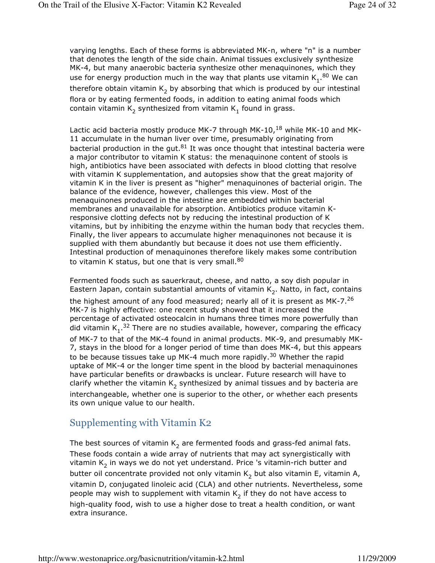varying lengths. Each of these forms is abbreviated MK-n, where "n" is a number that denotes the length of the side chain. Animal tissues exclusively synthesize MK-4, but many anaerobic bacteria synthesize other menaquinones, which they use for energy production much in the way that plants use vitamin  $K_1$ .<sup>80</sup> We can therefore obtain vitamin  $\mathsf{K}_2$  by absorbing that which is produced by our intestinal flora or by eating fermented foods, in addition to eating animal foods which contain vitamin  $\mathsf{K}_2$  synthesized from vitamin  $\mathsf{K}_1$  found in grass.

Lactic acid bacteria mostly produce MK-7 through MK-10,<sup>18</sup> while MK-10 and MK-11 accumulate in the human liver over time, presumably originating from bacterial production in the gut. $81$  It was once thought that intestinal bacteria were a major contributor to vitamin K status: the menaquinone content of stools is high, antibiotics have been associated with defects in blood clotting that resolve with vitamin K supplementation, and autopsies show that the great majority of vitamin K in the liver is present as "higher" menaquinones of bacterial origin. The balance of the evidence, however, challenges this view. Most of the menaquinones produced in the intestine are embedded within bacterial membranes and unavailable for absorption. Antibiotics produce vitamin Kresponsive clotting defects not by reducing the intestinal production of K vitamins, but by inhibiting the enzyme within the human body that recycles them. Finally, the liver appears to accumulate higher menaquinones not because it is supplied with them abundantly but because it does not use them efficiently. Intestinal production of menaquinones therefore likely makes some contribution to vitamin K status, but one that is very small. $80$ 

Fermented foods such as sauerkraut, cheese, and natto, a soy dish popular in Eastern Japan, contain substantial amounts of vitamin  $\mathsf{K}_2$ . Natto, in fact, contains the highest amount of any food measured; nearly all of it is present as MK-7.<sup>26</sup> MK-7 is highly effective: one recent study showed that it increased the percentage of activated osteocalcin in humans three times more powerfully than did vitamin  $K_1$ .<sup>32</sup> There are no studies available, however, comparing the efficacy of MK-7 to that of the MK-4 found in animal products. MK-9, and presumably MK-7, stays in the blood for a longer period of time than does MK-4, but this appears to be because tissues take up MK-4 much more rapidly.<sup>30</sup> Whether the rapid uptake of MK-4 or the longer time spent in the blood by bacterial menaquinones have particular benefits or drawbacks is unclear. Future research will have to clarify whether the vitamin  $\mathsf{K}_2$  synthesized by animal tissues and by bacteria are interchangeable, whether one is superior to the other, or whether each presents its own unique value to our health.

## Supplementing with Vitamin K2

The best sources of vitamin  $\mathsf{K}_2$  are fermented foods and grass-fed animal fats. These foods contain a wide array of nutrients that may act synergistically with vitamin  $\mathsf{K}_2$  in ways we do not yet understand. Price 's vitamin-rich butter and butter oil concentrate provided not only vitamin  $\mathsf{K}_2$  but also vitamin E, vitamin A, vitamin D, conjugated linoleic acid (CLA) and other nutrients. Nevertheless, some people may wish to supplement with vitamin  $\mathsf{K}_2$  if they do not have access to high-quality food, wish to use a higher dose to treat a health condition, or want extra insurance.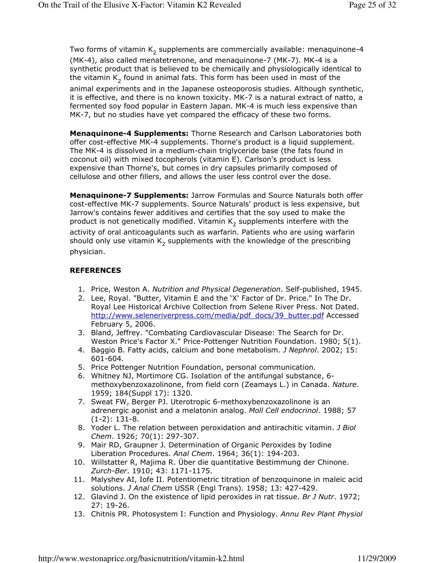Two forms of vitamin  $\mathsf{K}_2$  supplements are commercially available: menaquinone-4 (MK-4), also called menatetrenone, and menaquinone-7 (MK-7). MK-4 is a synthetic product that is believed to be chemically and physiologically identical to the vitamin  $\mathsf{K}_2$  found in animal fats. This form has been used in most of the animal experiments and in the Japanese osteoporosis studies. Although synthetic, it is effective, and there is no known toxicity. MK-7 is a natural extract of natto, a fermented soy food popular in Eastern Japan. MK-4 is much less expensive than MK-7, but no studies have yet compared the efficacy of these two forms.

Menaquinone-4 Supplements: Thorne Research and Carlson Laboratories both offer cost-effective MK-4 supplements. Thorne's product is a liquid supplement. The MK-4 is dissolved in a medium-chain triglyceride base (the fats found in coconut oil) with mixed tocopherols (vitamin E). Carlson's product is less expensive than Thorne's, but comes in dry capsules primarily composed of cellulose and other fillers, and allows the user less control over the dose.

Menaquinone-7 Supplements: Jarrow Formulas and Source Naturals both offer cost-effective MK-7 supplements. Source Naturals' product is less expensive, but Jarrow's contains fewer additives and certifies that the soy used to make the product is not genetically modified. Vitamin  $\mathsf{K}_2$  supplements interfere with the activity of oral anticoagulants such as warfarin. Patients who are using warfarin should only use vitamin  $\mathsf{K}_2$  supplements with the knowledge of the prescribing physician.

#### **REFERENCES**

- 1. Price, Weston A. Nutrition and Physical Degeneration. Self-published, 1945.
- 2. Lee, Royal. "Butter, Vitamin E and the 'X' Factor of Dr. Price." In The Dr. Royal Lee Historical Archive Collection from Selene River Press. Not Dated. http://www.seleneriverpress.com/media/pdf\_docs/39\_butter.pdf Accessed February 5, 2006.
- 3. Bland, Jeffrey. "Combating Cardiovascular Disease: The Search for Dr. Weston Price's Factor X." Price-Pottenger Nutrition Foundation. 1980; 5(1).
- 4. Baggio B. Fatty acids, calcium and bone metabolism. J Nephrol. 2002; 15: 601-604.
- 5. Price Pottenger Nutrition Foundation, personal communication.
- 6. Whitney NJ, Mortimore CG. Isolation of the antifungal substance, 6 methoxybenzoxazolinone, from field corn (Zeamays L.) in Canada. Nature. 1959; 184(Suppl 17): 1320.
- 7. Sweat FW, Berger PJ. Uterotropic 6-methoxybenzoxazolinone is an adrenergic agonist and a melatonin analog. Moll Cell endocrinol. 1988; 57 (1-2): 131-8.
- 8. Yoder L. The relation between peroxidation and antirachitic vitamin. J Biol Chem. 1926; 70(1): 297-307.
- 9. Mair RD, Graupner J. Determination of Organic Peroxides by Iodine Liberation Procedures. Anal Chem. 1964; 36(1): 194-203.
- 10. Willstatter R, Majima R. Über die quantitative Bestimmung der Chinone. Zurch-Ber. 1910; 43: 1171-1175.
- 11. Malyshev AI, Iofe II. Potentiometric titration of benzoquinone in maleic acid solutions. J Anal Chem USSR (Engl Trans). 1958; 13: 427-429.
- 12. Glavind J. On the existence of lipid peroxides in rat tissue. Br J Nutr. 1972; 27: 19-26.
- 13. Chitnis PR. Photosystem I: Function and Physiology. Annu Rev Plant Physiol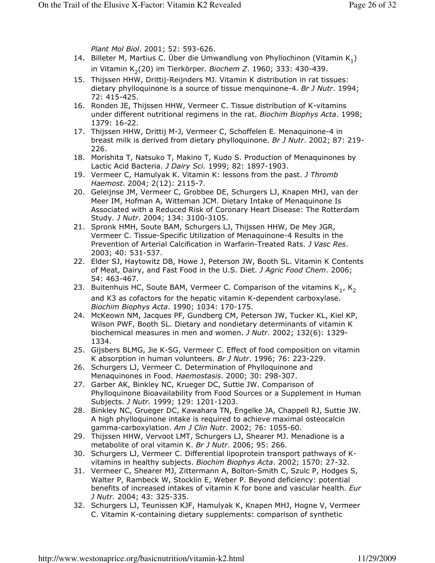Plant Mol Biol. 2001; 52: 593-626.

- 14. Billeter M, Martius C. Uber die Umwandlung von Phyllochinon (Vitamin  $K_1$ ) in Vitamin K<sub>2</sub>(20) im Tierkörper. *Biochem Z*. 1960; 333: 430-439.
- 15. Thijssen HHW, Drittij-Reijnders MJ. Vitamin K distribution in rat tissues: dietary phylloquinone is a source of tissue menquinone-4. Br J Nutr. 1994; 72: 415-425.
- 16. Ronden JE, Thijssen HHW, Vermeer C. Tissue distribution of K-vitamins under different nutritional regimens in the rat. Biochim Biophys Acta. 1998; 1379: 16-22.
- 17. Thijssen HHW, Drittij M-J, Vermeer C, Schoffelen E. Menaquinone-4 in breast milk is derived from dietary phylloquinone. Br J Nutr. 2002; 87: 219- 226.
- 18. Morishita T, Natsuko T, Makino T, Kudo S. Production of Menaquinones by Lactic Acid Bacteria. J Dairy Sci. 1999; 82: 1897-1903.
- 19. Vermeer C, Hamulyak K. Vitamin K: lessons from the past. J Thromb Haemost. 2004; 2(12): 2115-7.
- 20. Geleijnse JM, Vermeer C, Grobbee DE, Schurgers LJ, Knapen MHJ, van der Meer IM, Hofman A, Witteman JCM. Dietary Intake of Menaquinone Is Associated with a Reduced Risk of Coronary Heart Disease: The Rotterdam Study. J Nutr. 2004; 134: 3100-3105.
- 21. Spronk HMH, Soute BAM, Schurgers LJ, Thijssen HHW, De Mey JGR, Vermeer C. Tissue-Specific Utilization of Menaquinone-4 Results in the Prevention of Arterial Calcification in Warfarin-Treated Rats. J Vasc Res. 2003; 40: 531-537.
- 22. Elder SJ, Haytowitz DB, Howe J, Peterson JW, Booth SL. Vitamin K Contents of Meat, Dairy, and Fast Food in the U.S. Diet. J Agric Food Chem. 2006; 54: 463-467.
- 23. Buitenhuis HC, Soute BAM, Vermeer C. Comparison of the vitamins  $\mathsf{K}_1^{}$ ,  $\mathsf{K}_2^{}$ and K3 as cofactors for the hepatic vitamin K-dependent carboxylase. Biochim Biophys Acta. 1990; 1034: 170-175.
- 24. McKeown NM, Jacques PF, Gundberg CM, Peterson JW, Tucker KL, Kiel KP, Wilson PWF, Booth SL. Dietary and nondietary determinants of vitamin K biochemical measures in men and women. *J Nutr.* 2002; 132(6): 1329-1334.
- 25. Gijsbers BLMG, Jie K-SG, Vermeer C. Effect of food composition on vitamin K absorption in human volunteers. Br J Nutr. 1996; 76: 223-229.
- 26. Schurgers LJ, Vermeer C. Determination of Phylloquinone and Menaquinones in Food. Haemostasis. 2000; 30: 298-307.
- 27. Garber AK, Binkley NC, Krueger DC, Suttie JW. Comparison of Phylloquinone Bioavailability from Food Sources or a Supplement in Human Subjects. J Nutr. 1999; 129: 1201-1203.
- 28. Binkley NC, Grueger DC, Kawahara TN, Engelke JA, Chappell RJ, Suttie JW. A high phylloquinone intake is required to achieve maximal osteocalcin gamma-carboxylation. Am J Clin Nutr. 2002; 76: 1055-60.
- 29. Thijssen HHW, Vervoot LMT, Schurgers LJ, Shearer MJ. Menadione is a metabolite of oral vitamin K. Br J Nutr. 2006; 95: 266.
- 30. Schurgers LJ, Vermeer C. Differential lipoprotein transport pathways of Kvitamins in healthy subjects. Biochim Biophys Acta. 2002; 1570: 27-32.
- 31. Vermeer C, Shearer MJ, Zittermann A, Bolton-Smith C, Szulc P, Hodges S, Walter P, Rambeck W, Stocklin E, Weber P. Beyond deficiency: potential benefits of increased intakes of vitamin K for bone and vascular health. Eur J Nutr. 2004; 43: 325-335.
- 32. Schurgers LJ, Teunissen KJF, Hamulyak K, Knapen MHJ, Hogne V, Vermeer C. Vitamin K-containing dietary supplements: comparison of synthetic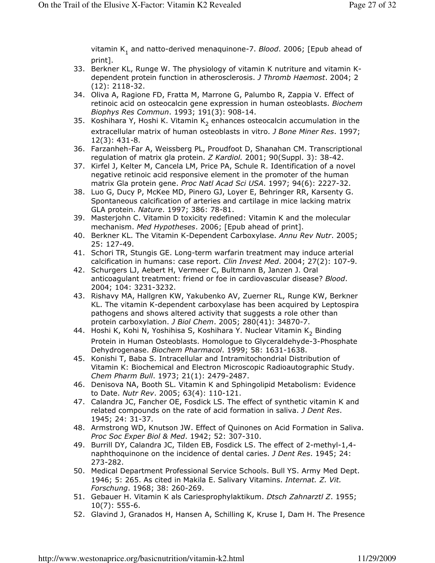vitamin K<sub>1</sub> and natto-derived menaquinone-7. *Blood*. 2006; [Epub ahead of print].

- 33. Berkner KL, Runge W. The physiology of vitamin K nutriture and vitamin Kdependent protein function in atherosclerosis. J Thromb Haemost. 2004; 2 (12): 2118-32.
- 34. Oliva A, Ragione FD, Fratta M, Marrone G, Palumbo R, Zappia V. Effect of retinoic acid on osteocalcin gene expression in human osteoblasts. Biochem Biophys Res Commun. 1993; 191(3): 908-14.
- 35. Koshihara Y, Hoshi K. Vitamin K<sub>2</sub> enhances osteocalcin accumulation in the extracellular matrix of human osteoblasts in vitro. J Bone Miner Res. 1997; 12(3): 431-8.
- 36. Farzanheh-Far A, Weissberg PL, Proudfoot D, Shanahan CM. Transcriptional regulation of matrix gla protein. Z Kardiol. 2001; 90(Suppl. 3): 38-42.
- 37. Kirfel J, Kelter M, Cancela LM, Price PA, Schule R. Identification of a novel negative retinoic acid responsive element in the promoter of the human matrix Gla protein gene. Proc Natl Acad Sci USA. 1997; 94(6): 2227-32.
- 38. Luo G, Ducy P, McKee MD, Pinero GJ, Loyer E, Behringer RR, Karsenty G. Spontaneous calcification of arteries and cartilage in mice lacking matrix GLA protein. Nature. 1997; 386: 78-81.
- 39. Masterjohn C. Vitamin D toxicity redefined: Vitamin K and the molecular mechanism. Med Hypotheses. 2006; [Epub ahead of print].
- 40. Berkner KL. The Vitamin K-Dependent Carboxylase. Annu Rev Nutr. 2005; 25: 127-49.
- 41. Schori TR, Stungis GE. Long-term warfarin treatment may induce arterial calcification in humans: case report. Clin Invest Med. 2004; 27(2): 107-9.
- 42. Schurgers LJ, Aebert H, Vermeer C, Bultmann B, Janzen J. Oral anticoagulant treatment: friend or foe in cardiovascular disease? Blood. 2004; 104: 3231-3232.
- 43. Rishavy MA, Hallgren KW, Yakubenko AV, Zuerner RL, Runge KW, Berkner KL. The vitamin K-dependent carboxylase has been acquired by Leptospira pathogens and shows altered activity that suggests a role other than protein carboxylation. J Biol Chem. 2005; 280(41): 34870-7.
- 44. Hoshi K, Kohi N, Yoshihisa S, Koshihara Y. Nuclear Vitamin K<sub>2</sub> Binding Protein in Human Osteoblasts. Homologue to Glyceraldehyde-3-Phosphate Dehydrogenase. Biochem Pharmacol. 1999; 58: 1631-1638.
- 45. Konishi T, Baba S. Intracellular and Intramitochondrial Distribution of Vitamin K: Biochemical and Electron Microscopic Radioautographic Study. Chem Pharm Bull. 1973; 21(1): 2479-2487.
- 46. Denisova NA, Booth SL. Vitamin K and Sphingolipid Metabolism: Evidence to Date. Nutr Rev. 2005; 63(4): 110-121.
- 47. Calandra JC, Fancher OE, Fosdick LS. The effect of synthetic vitamin K and related compounds on the rate of acid formation in saliva. J Dent Res. 1945; 24: 31-37.
- 48. Armstrong WD, Knutson JW. Effect of Quinones on Acid Formation in Saliva. Proc Soc Exper Biol & Med. 1942; 52: 307-310.
- 49. Burrill DY, Calandra JC, Tilden EB, Fosdick LS. The effect of 2-methyl-1,4 naphthoquinone on the incidence of dental caries. J Dent Res. 1945; 24: 273-282.
- 50. Medical Department Professional Service Schools. Bull YS. Army Med Dept. 1946; 5: 265. As cited in Makila E. Salivary Vitamins. Internat. Z. Vit. Forschung. 1968; 38: 260-269.
- 51. Gebauer H. Vitamin K als Cariesprophylaktikum. Dtsch Zahnarztl Z. 1955; 10(7): 555-6.
- 52. Glavind J, Granados H, Hansen A, Schilling K, Kruse I, Dam H. The Presence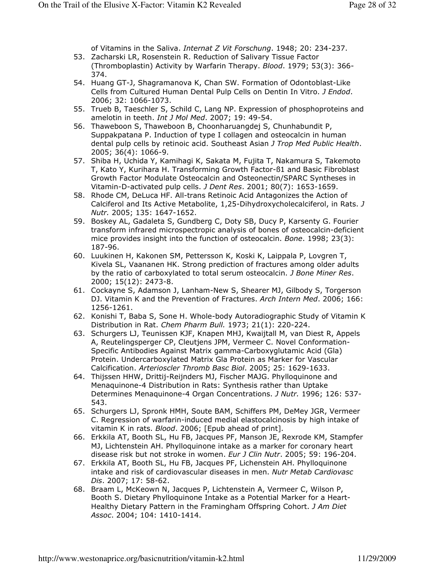of Vitamins in the Saliva. *Internat Z Vit Forschung*. 1948; 20: 234-237.

- 53. Zacharski LR, Rosenstein R. Reduction of Salivary Tissue Factor (Thromboplastin) Activity by Warfarin Therapy. Blood. 1979; 53(3): 366- 374.
- 54. Huang GT-J, Shagramanova K, Chan SW. Formation of Odontoblast-Like Cells from Cultured Human Dental Pulp Cells on Dentin In Vitro. J Endod. 2006; 32: 1066-1073.
- 55. Trueb B, Taeschler S, Schild C, Lang NP. Expression of phosphoproteins and amelotin in teeth. *Int J Mol Med*. 2007; 19: 49-54.
- 56. Thaweboon S, Thaweboon B, Choonharuangdej S, Chunhabundit P, Suppakpatana P. Induction of type I collagen and osteocalcin in human dental pulp cells by retinoic acid. Southeast Asian J Trop Med Public Health. 2005; 36(4): 1066-9.
- 57. Shiba H, Uchida Y, Kamihagi K, Sakata M, Fujita T, Nakamura S, Takemoto T, Kato Y, Kurihara H. Transforming Growth Factor-ß1 and Basic Fibroblast Growth Factor Modulate Osteocalcin and Osteonectin/SPARC Syntheses in Vitamin-D-activated pulp cells. J Dent Res. 2001; 80(7): 1653-1659.
- 58. Rhode CM, DeLuca HF. All-trans Retinoic Acid Antagonizes the Action of Calciferol and Its Active Metabolite, 1,25-Dihydroxycholecalciferol, in Rats. J Nutr. 2005; 135: 1647-1652.
- 59. Boskey AL, Gadaleta S, Gundberg C, Doty SB, Ducy P, Karsenty G. Fourier transform infrared microspectropic analysis of bones of osteocalcin-deficient mice provides insight into the function of osteocalcin. Bone. 1998; 23(3): 187-96.
- 60. Luukinen H, Kakonen SM, Pettersson K, Koski K, Laippala P, Lovgren T, Kivela SL, Vaananen HK. Strong prediction of fractures among older adults by the ratio of carboxylated to total serum osteocalcin. J Bone Miner Res. 2000; 15(12): 2473-8.
- 61. Cockayne S, Adamson J, Lanham-New S, Shearer MJ, Gilbody S, Torgerson DJ. Vitamin K and the Prevention of Fractures. Arch Intern Med. 2006; 166: 1256-1261.
- 62. Konishi T, Baba S, Sone H. Whole-body Autoradiographic Study of Vitamin K Distribution in Rat. Chem Pharm Bull. 1973; 21(1): 220-224.
- 63. Schurgers LJ, Teunissen KJF, Knapen MHJ, Kwaijtall M, van Diest R, Appels A, Reutelingsperger CP, Cleutjens JPM, Vermeer C. Novel Conformation-Specific Antibodies Against Matrix gamma-Carboxyglutamic Acid (Gla) Protein. Undercarboxylated Matrix Gla Protein as Marker for Vascular Calcification. Arterioscler Thromb Basc Biol. 2005; 25: 1629-1633.
- 64. Thijssen HHW, Drittij-Reijnders MJ, Fischer MAJG. Phylloquinone and Menaquinone-4 Distribution in Rats: Synthesis rather than Uptake Determines Menaquinone-4 Organ Concentrations. J Nutr. 1996; 126: 537- 543.
- 65. Schurgers LJ, Spronk HMH, Soute BAM, Schiffers PM, DeMey JGR, Vermeer C. Regression of warfarin-induced medial elastocalcinosis by high intake of vitamin K in rats. Blood. 2006; [Epub ahead of print].
- 66. Erkkila AT, Booth SL, Hu FB, Jacques PF, Manson JE, Rexrode KM, Stampfer MJ, Lichtenstein AH. Phylloquinone intake as a marker for coronary heart disease risk but not stroke in women. Eur J Clin Nutr. 2005; 59: 196-204.
- 67. Erkkila AT, Booth SL, Hu FB, Jacques PF, Lichenstein AH. Phylloquinone intake and risk of cardiovascular diseases in men. Nutr Metab Cardiovasc Dis. 2007; 17: 58-62.
- 68. Braam L, McKeown N, Jacques P, Lichtenstein A, Vermeer C, Wilson P, Booth S. Dietary Phylloquinone Intake as a Potential Marker for a Heart-Healthy Dietary Pattern in the Framingham Offspring Cohort. J Am Diet Assoc. 2004; 104: 1410-1414.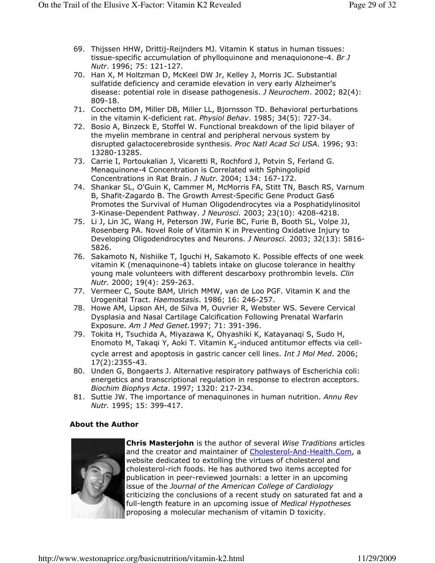- 69. Thijssen HHW, Drittij-Reijnders MJ. Vitamin K status in human tissues: tissue-specific accumulation of phylloquinone and menaquionone-4. Br  $J$ Nutr. 1996; 75: 121-127.
- 70. Han X, M Holtzman D, McKeel DW Jr, Kelley J, Morris JC. Substantial sulfatide deficiency and ceramide elevation in very early Alzheimer's disease: potential role in disease pathogenesis. *J Neurochem*. 2002; 82(4): 809-18.
- 71. Cocchetto DM, Miller DB, Miller LL, Bjornsson TD. Behavioral perturbations in the vitamin K-deficient rat. Physiol Behav. 1985; 34(5): 727-34.
- 72. Bosio A, Binzeck E, Stoffel W. Functional breakdown of the lipid bilayer of the myelin membrane in central and peripheral nervous system by disrupted galactocerebroside synthesis. Proc Natl Acad Sci USA. 1996; 93: 13280-13285.
- 73. Carrie I, Portoukalian J, Vicaretti R, Rochford J, Potvin S, Ferland G. Menaquinone-4 Concentration is Correlated with Sphingolipid Concentrations in Rat Brain. J Nutr. 2004; 134: 167-172.
- 74. Shankar SL, O'Guin K, Cammer M, McMorris FA, Stitt TN, Basch RS, Varnum B, Shafit-Zagardo B. The Growth Arrest-Specific Gene Product Gas6 Promotes the Survival of Human Oligodendrocytes via a Posphatidylinositol 3-Kinase-Dependent Pathway. J Neurosci. 2003; 23(10): 4208-4218.
- 75. Li J, Lin JC, Wang H, Peterson JW, Furie BC, Furie B, Booth SL, Volpe JJ, Rosenberg PA. Novel Role of Vitamin K in Preventing Oxidative Injury to Developing Oligodendrocytes and Neurons. J Neurosci. 2003; 32(13): 5816- 5826.
- 76. Sakamoto N, Nishiike T, Iguchi H, Sakamoto K. Possible effects of one week vitamin K (menaquinone-4) tablets intake on glucose tolerance in healthy young male volunteers with different descarboxy prothrombin levels. Clin Nutr. 2000; 19(4): 259-263.
- 77. Vermeer C, Soute BAM, Ulrich MMW, van de Loo PGF. Vitamin K and the Urogenital Tract. Haemostasis. 1986; 16: 246-257.
- 78. Howe AM, Lipson AH, de Silva M, Ouvrier R, Webster WS. Severe Cervical Dysplasia and Nasal Cartilage Calcification Following Prenatal Warfarin Exposure. Am J Med Genet.1997; 71: 391-396.
- 79. Tokita H, Tsuchida A, Miyazawa K, Ohyashiki K, Katayanaqi S, Sudo H, Enomoto M, Takaqi Y, Aoki T. Vitamin K<sub>2</sub>-induced antitumor effects via cellcycle arrest and apoptosis in gastric cancer cell lines. *Int J Mol Med*. 2006; 17(2):2355-43.
- 80. Unden G, Bongaerts J. Alternative respiratory pathways of Escherichia coli: energetics and transcriptional regulation in response to electron acceptors. Biochim Biophys Acta. 1997; 1320: 217-234.
- 81. Suttie JW. The importance of menaquinones in human nutrition. Annu Rev Nutr. 1995; 15: 399-417.

#### About the Author



Chris Masterjohn is the author of several Wise Traditions articles and the creator and maintainer of Cholesterol-And-Health.Com, a website dedicated to extolling the virtues of cholesterol and cholesterol-rich foods. He has authored two items accepted for publication in peer-reviewed journals: a letter in an upcoming issue of the Journal of the American College of Cardiology criticizing the conclusions of a recent study on saturated fat and a full-length feature in an upcoming issue of Medical Hypotheses proposing a molecular mechanism of vitamin D toxicity.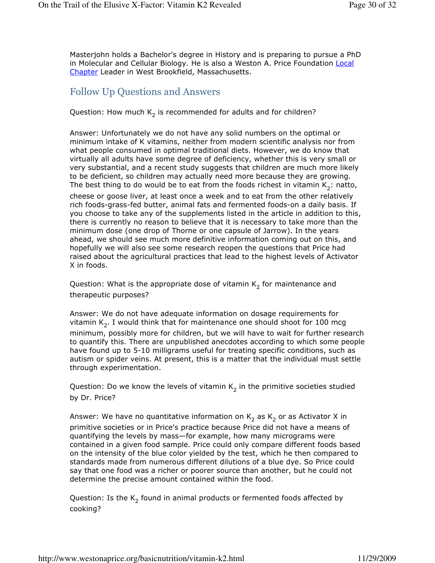Masterjohn holds a Bachelor's degree in History and is preparing to pursue a PhD in Molecular and Cellular Biology. He is also a Weston A. Price Foundation Local Chapter Leader in West Brookfield, Massachusetts.

#### Follow Up Questions and Answers

## Question: How much  $\mathsf{K}_2$  is recommended for adults and for children?

Answer: Unfortunately we do not have any solid numbers on the optimal or minimum intake of K vitamins, neither from modern scientific analysis nor from what people consumed in optimal traditional diets. However, we do know that virtually all adults have some degree of deficiency, whether this is very small or very substantial, and a recent study suggests that children are much more likely to be deficient, so children may actually need more because they are growing. The best thing to do would be to eat from the foods richest in vitamin  $\mathsf{K}_2^{}$ : natto, cheese or goose liver, at least once a week and to eat from the other relatively rich foods-grass-fed butter, animal fats and fermented foods-on a daily basis. If you choose to take any of the supplements listed in the article in addition to this, there is currently no reason to believe that it is necessary to take more than the minimum dose (one drop of Thorne or one capsule of Jarrow). In the years ahead, we should see much more definitive information coming out on this, and hopefully we will also see some research reopen the questions that Price had raised about the agricultural practices that lead to the highest levels of Activator

X in foods.

Question: What is the appropriate dose of vitamin  $\mathsf{K}_2$  for maintenance and therapeutic purposes?

Answer: We do not have adequate information on dosage requirements for vitamin  $\mathsf{K}_2$ . I would think that for maintenance one should shoot for 100 mcg minimum, possibly more for children, but we will have to wait for further research to quantify this. There are unpublished anecdotes according to which some people have found up to 5-10 milligrams useful for treating specific conditions, such as autism or spider veins. At present, this is a matter that the individual must settle through experimentation.

Question: Do we know the levels of vitamin  $\mathsf{K}_2$  in the primitive societies studied by Dr. Price?

Answer: We have no quantitative information on  $\mathsf{K}_2$  as  $\mathsf{K}_2$  or as Activator X in primitive societies or in Price's practice because Price did not have a means of quantifying the levels by mass—for example, how many micrograms were contained in a given food sample. Price could only compare different foods based on the intensity of the blue color yielded by the test, which he then compared to standards made from numerous different dilutions of a blue dye. So Price could say that one food was a richer or poorer source than another, but he could not determine the precise amount contained within the food.

Question: Is the  $\mathsf{K}_2$  found in animal products or fermented foods affected by cooking?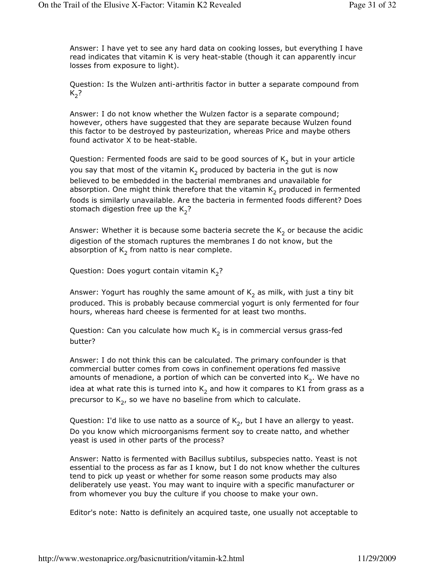Answer: I have yet to see any hard data on cooking losses, but everything I have read indicates that vitamin K is very heat-stable (though it can apparently incur losses from exposure to light).

Question: Is the Wulzen anti-arthritis factor in butter a separate compound from  $K_{2}$ ?

Answer: I do not know whether the Wulzen factor is a separate compound; however, others have suggested that they are separate because Wulzen found this factor to be destroyed by pasteurization, whereas Price and maybe others found activator X to be heat-stable.

Question: Fermented foods are said to be good sources of  $\mathsf{K}_2$  but in your article you say that most of the vitamin  $\mathsf{K}_2$  produced by bacteria in the gut is now believed to be embedded in the bacterial membranes and unavailable for absorption. One might think therefore that the vitamin  $\mathsf{K}_2$  produced in fermented foods is similarly unavailable. Are the bacteria in fermented foods different? Does stomach digestion free up the K<sub>2</sub>?

Answer: Whether it is because some bacteria secrete the  $\mathsf{K}_2$  or because the acidic digestion of the stomach ruptures the membranes I do not know, but the absorption of  $\mathsf{K}_2$  from natto is near complete.

Question: Does yogurt contain vitamin K<sub>2</sub>?

Answer: Yogurt has roughly the same amount of  $\mathsf{K}_2$  as milk, with just a tiny bit produced. This is probably because commercial yogurt is only fermented for four hours, whereas hard cheese is fermented for at least two months.

Question: Can you calculate how much  $\mathsf{K}_2$  is in commercial versus grass-fed butter?

Answer: I do not think this can be calculated. The primary confounder is that commercial butter comes from cows in confinement operations fed massive amounts of menadione, a portion of which can be converted into  $\mathsf{K}_2.$  We have no idea at what rate this is turned into  $\mathsf{K}_2$  and how it compares to K1 from grass as a precursor to K<sub>2</sub>, so we have no baseline from which to calculate.

Question: I'd like to use natto as a source of  $\mathsf{K}_2$ , but I have an allergy to yeast. Do you know which microorganisms ferment soy to create natto, and whether yeast is used in other parts of the process?

Answer: Natto is fermented with Bacillus subtilus, subspecies natto. Yeast is not essential to the process as far as I know, but I do not know whether the cultures tend to pick up yeast or whether for some reason some products may also deliberately use yeast. You may want to inquire with a specific manufacturer or from whomever you buy the culture if you choose to make your own.

Editor's note: Natto is definitely an acquired taste, one usually not acceptable to